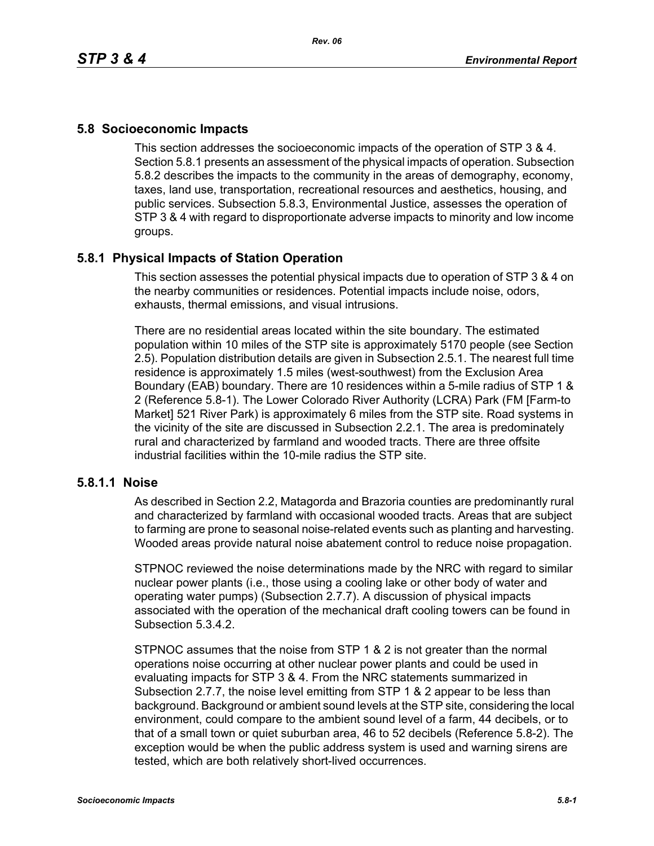# **5.8 Socioeconomic Impacts**

This section addresses the socioeconomic impacts of the operation of STP 3 & 4. Section 5.8.1 presents an assessment of the physical impacts of operation. Subsection 5.8.2 describes the impacts to the community in the areas of demography, economy, taxes, land use, transportation, recreational resources and aesthetics, housing, and public services. Subsection 5.8.3, Environmental Justice, assesses the operation of STP 3 & 4 with regard to disproportionate adverse impacts to minority and low income groups.

# **5.8.1 Physical Impacts of Station Operation**

This section assesses the potential physical impacts due to operation of STP 3 & 4 on the nearby communities or residences. Potential impacts include noise, odors, exhausts, thermal emissions, and visual intrusions.

There are no residential areas located within the site boundary. The estimated population within 10 miles of the STP site is approximately 5170 people (see Section 2.5). Population distribution details are given in Subsection 2.5.1. The nearest full time residence is approximately 1.5 miles (west-southwest) from the Exclusion Area Boundary (EAB) boundary. There are 10 residences within a 5-mile radius of STP 1 & 2 (Reference 5.8-1). The Lower Colorado River Authority (LCRA) Park (FM [Farm-to Market] 521 River Park) is approximately 6 miles from the STP site. Road systems in the vicinity of the site are discussed in Subsection 2.2.1. The area is predominately rural and characterized by farmland and wooded tracts. There are three offsite industrial facilities within the 10-mile radius the STP site.

### **5.8.1.1 Noise**

As described in Section 2.2, Matagorda and Brazoria counties are predominantly rural and characterized by farmland with occasional wooded tracts. Areas that are subject to farming are prone to seasonal noise-related events such as planting and harvesting. Wooded areas provide natural noise abatement control to reduce noise propagation.

STPNOC reviewed the noise determinations made by the NRC with regard to similar nuclear power plants (i.e., those using a cooling lake or other body of water and operating water pumps) (Subsection 2.7.7). A discussion of physical impacts associated with the operation of the mechanical draft cooling towers can be found in Subsection 5.3.4.2.

STPNOC assumes that the noise from STP 1 & 2 is not greater than the normal operations noise occurring at other nuclear power plants and could be used in evaluating impacts for STP 3 & 4. From the NRC statements summarized in Subsection 2.7.7, the noise level emitting from STP 1 & 2 appear to be less than background. Background or ambient sound levels at the STP site, considering the local environment, could compare to the ambient sound level of a farm, 44 decibels, or to that of a small town or quiet suburban area, 46 to 52 decibels (Reference 5.8-2). The exception would be when the public address system is used and warning sirens are tested, which are both relatively short-lived occurrences.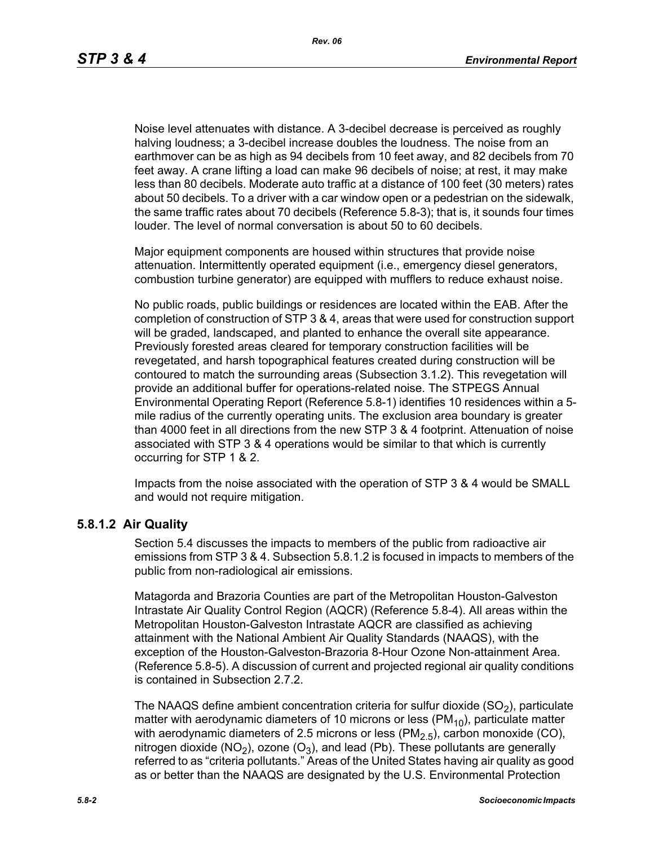Noise level attenuates with distance. A 3-decibel decrease is perceived as roughly halving loudness; a 3-decibel increase doubles the loudness. The noise from an earthmover can be as high as 94 decibels from 10 feet away, and 82 decibels from 70 feet away. A crane lifting a load can make 96 decibels of noise; at rest, it may make less than 80 decibels. Moderate auto traffic at a distance of 100 feet (30 meters) rates about 50 decibels. To a driver with a car window open or a pedestrian on the sidewalk, the same traffic rates about 70 decibels (Reference 5.8-3); that is, it sounds four times louder. The level of normal conversation is about 50 to 60 decibels.

Major equipment components are housed within structures that provide noise attenuation. Intermittently operated equipment (i.e., emergency diesel generators, combustion turbine generator) are equipped with mufflers to reduce exhaust noise.

No public roads, public buildings or residences are located within the EAB. After the completion of construction of STP 3 & 4, areas that were used for construction support will be graded, landscaped, and planted to enhance the overall site appearance. Previously forested areas cleared for temporary construction facilities will be revegetated, and harsh topographical features created during construction will be contoured to match the surrounding areas (Subsection 3.1.2). This revegetation will provide an additional buffer for operations-related noise. The STPEGS Annual Environmental Operating Report (Reference 5.8-1) identifies 10 residences within a 5 mile radius of the currently operating units. The exclusion area boundary is greater than 4000 feet in all directions from the new STP 3 & 4 footprint. Attenuation of noise associated with STP 3 & 4 operations would be similar to that which is currently occurring for STP 1 & 2.

Impacts from the noise associated with the operation of STP 3 & 4 would be SMALL and would not require mitigation.

#### **5.8.1.2 Air Quality**

Section 5.4 discusses the impacts to members of the public from radioactive air emissions from STP 3 & 4. Subsection 5.8.1.2 is focused in impacts to members of the public from non-radiological air emissions.

Matagorda and Brazoria Counties are part of the Metropolitan Houston-Galveston Intrastate Air Quality Control Region (AQCR) (Reference 5.8-4). All areas within the Metropolitan Houston-Galveston Intrastate AQCR are classified as achieving attainment with the National Ambient Air Quality Standards (NAAQS), with the exception of the Houston-Galveston-Brazoria 8-Hour Ozone Non-attainment Area. (Reference 5.8-5). A discussion of current and projected regional air quality conditions is contained in Subsection 2.7.2.

The NAAQS define ambient concentration criteria for sulfur dioxide  $(SO<sub>2</sub>)$ , particulate matter with aerodynamic diameters of 10 microns or less ( $PM_{10}$ ), particulate matter with aerodynamic diameters of 2.5 microns or less  $(PM<sub>2.5</sub>)$ , carbon monoxide (CO), nitrogen dioxide (NO<sub>2</sub>), ozone (O<sub>3</sub>), and lead (Pb). These pollutants are generally referred to as "criteria pollutants." Areas of the United States having air quality as good as or better than the NAAQS are designated by the U.S. Environmental Protection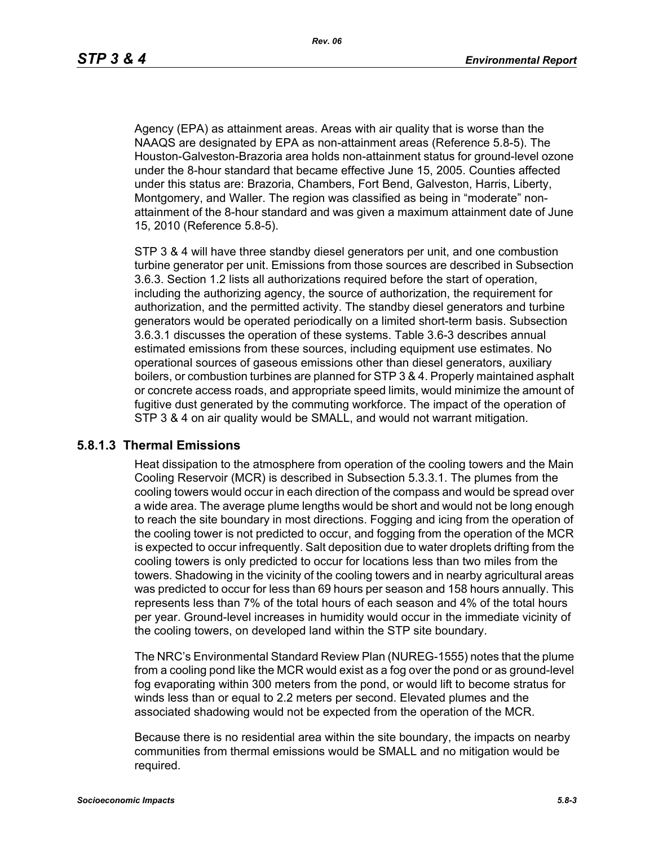Agency (EPA) as attainment areas. Areas with air quality that is worse than the NAAQS are designated by EPA as non-attainment areas (Reference 5.8-5). The Houston-Galveston-Brazoria area holds non-attainment status for ground-level ozone under the 8-hour standard that became effective June 15, 2005. Counties affected under this status are: Brazoria, Chambers, Fort Bend, Galveston, Harris, Liberty, Montgomery, and Waller. The region was classified as being in "moderate" nonattainment of the 8-hour standard and was given a maximum attainment date of June 15, 2010 (Reference 5.8-5).

STP 3 & 4 will have three standby diesel generators per unit, and one combustion turbine generator per unit. Emissions from those sources are described in Subsection 3.6.3. Section 1.2 lists all authorizations required before the start of operation, including the authorizing agency, the source of authorization, the requirement for authorization, and the permitted activity. The standby diesel generators and turbine generators would be operated periodically on a limited short-term basis. Subsection 3.6.3.1 discusses the operation of these systems. Table 3.6-3 describes annual estimated emissions from these sources, including equipment use estimates. No operational sources of gaseous emissions other than diesel generators, auxiliary boilers, or combustion turbines are planned for STP 3 & 4. Properly maintained asphalt or concrete access roads, and appropriate speed limits, would minimize the amount of fugitive dust generated by the commuting workforce. The impact of the operation of STP 3 & 4 on air quality would be SMALL, and would not warrant mitigation.

#### **5.8.1.3 Thermal Emissions**

Heat dissipation to the atmosphere from operation of the cooling towers and the Main Cooling Reservoir (MCR) is described in Subsection 5.3.3.1. The plumes from the cooling towers would occur in each direction of the compass and would be spread over a wide area. The average plume lengths would be short and would not be long enough to reach the site boundary in most directions. Fogging and icing from the operation of the cooling tower is not predicted to occur, and fogging from the operation of the MCR is expected to occur infrequently. Salt deposition due to water droplets drifting from the cooling towers is only predicted to occur for locations less than two miles from the towers. Shadowing in the vicinity of the cooling towers and in nearby agricultural areas was predicted to occur for less than 69 hours per season and 158 hours annually. This represents less than 7% of the total hours of each season and 4% of the total hours per year. Ground-level increases in humidity would occur in the immediate vicinity of the cooling towers, on developed land within the STP site boundary.

The NRC's Environmental Standard Review Plan (NUREG-1555) notes that the plume from a cooling pond like the MCR would exist as a fog over the pond or as ground-level fog evaporating within 300 meters from the pond, or would lift to become stratus for winds less than or equal to 2.2 meters per second. Elevated plumes and the associated shadowing would not be expected from the operation of the MCR.

Because there is no residential area within the site boundary, the impacts on nearby communities from thermal emissions would be SMALL and no mitigation would be required.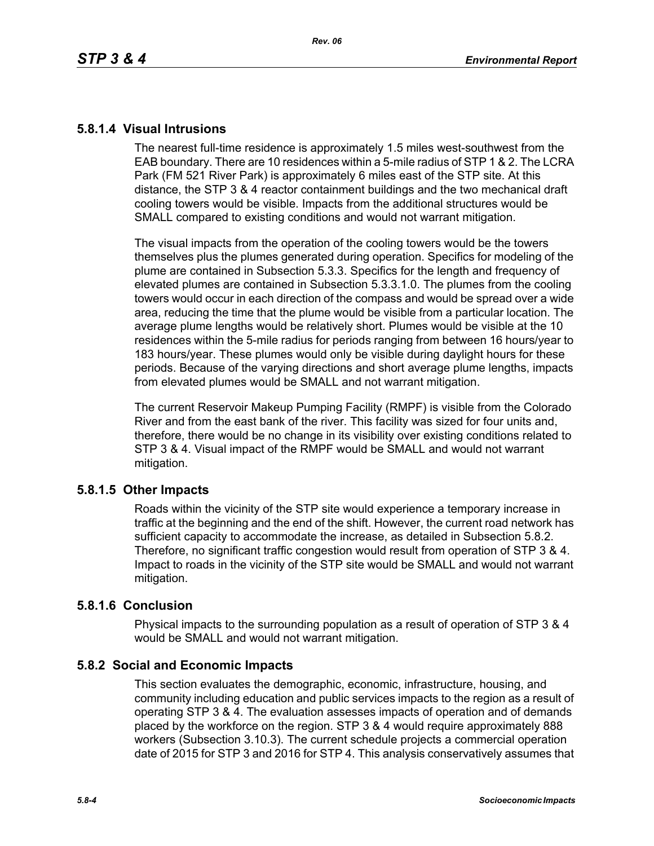# **5.8.1.4 Visual Intrusions**

The nearest full-time residence is approximately 1.5 miles west-southwest from the EAB boundary. There are 10 residences within a 5-mile radius of STP 1 & 2. The LCRA Park (FM 521 River Park) is approximately 6 miles east of the STP site. At this distance, the STP 3 & 4 reactor containment buildings and the two mechanical draft cooling towers would be visible. Impacts from the additional structures would be SMALL compared to existing conditions and would not warrant mitigation.

The visual impacts from the operation of the cooling towers would be the towers themselves plus the plumes generated during operation. Specifics for modeling of the plume are contained in Subsection 5.3.3. Specifics for the length and frequency of elevated plumes are contained in Subsection 5.3.3.1.0. The plumes from the cooling towers would occur in each direction of the compass and would be spread over a wide area, reducing the time that the plume would be visible from a particular location. The average plume lengths would be relatively short. Plumes would be visible at the 10 residences within the 5-mile radius for periods ranging from between 16 hours/year to 183 hours/year. These plumes would only be visible during daylight hours for these periods. Because of the varying directions and short average plume lengths, impacts from elevated plumes would be SMALL and not warrant mitigation.

The current Reservoir Makeup Pumping Facility (RMPF) is visible from the Colorado River and from the east bank of the river. This facility was sized for four units and, therefore, there would be no change in its visibility over existing conditions related to STP 3 & 4. Visual impact of the RMPF would be SMALL and would not warrant mitigation.

# **5.8.1.5 Other Impacts**

Roads within the vicinity of the STP site would experience a temporary increase in traffic at the beginning and the end of the shift. However, the current road network has sufficient capacity to accommodate the increase, as detailed in Subsection 5.8.2. Therefore, no significant traffic congestion would result from operation of STP 3 & 4. Impact to roads in the vicinity of the STP site would be SMALL and would not warrant mitigation.

### **5.8.1.6 Conclusion**

Physical impacts to the surrounding population as a result of operation of STP 3 & 4 would be SMALL and would not warrant mitigation.

# **5.8.2 Social and Economic Impacts**

This section evaluates the demographic, economic, infrastructure, housing, and community including education and public services impacts to the region as a result of operating STP 3 & 4. The evaluation assesses impacts of operation and of demands placed by the workforce on the region. STP 3 & 4 would require approximately 888 workers (Subsection 3.10.3). The current schedule projects a commercial operation date of 2015 for STP 3 and 2016 for STP 4. This analysis conservatively assumes that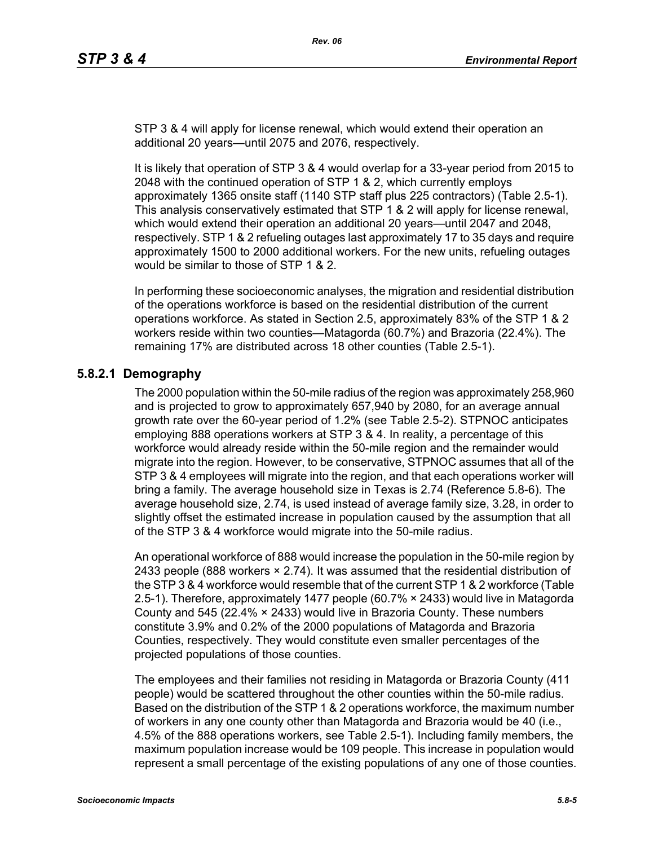STP 3 & 4 will apply for license renewal, which would extend their operation an additional 20 years—until 2075 and 2076, respectively.

It is likely that operation of STP 3 & 4 would overlap for a 33-year period from 2015 to 2048 with the continued operation of STP 1 & 2, which currently employs approximately 1365 onsite staff (1140 STP staff plus 225 contractors) (Table 2.5-1). This analysis conservatively estimated that STP 1 & 2 will apply for license renewal, which would extend their operation an additional 20 years—until 2047 and 2048, respectively. STP 1 & 2 refueling outages last approximately 17 to 35 days and require approximately 1500 to 2000 additional workers. For the new units, refueling outages would be similar to those of STP 1 & 2.

In performing these socioeconomic analyses, the migration and residential distribution of the operations workforce is based on the residential distribution of the current operations workforce. As stated in Section 2.5, approximately 83% of the STP 1 & 2 workers reside within two counties—Matagorda (60.7%) and Brazoria (22.4%). The remaining 17% are distributed across 18 other counties (Table 2.5-1).

# **5.8.2.1 Demography**

The 2000 population within the 50-mile radius of the region was approximately 258,960 and is projected to grow to approximately 657,940 by 2080, for an average annual growth rate over the 60-year period of 1.2% (see Table 2.5-2). STPNOC anticipates employing 888 operations workers at STP 3 & 4. In reality, a percentage of this workforce would already reside within the 50-mile region and the remainder would migrate into the region. However, to be conservative, STPNOC assumes that all of the STP 3 & 4 employees will migrate into the region, and that each operations worker will bring a family. The average household size in Texas is 2.74 (Reference 5.8-6). The average household size, 2.74, is used instead of average family size, 3.28, in order to slightly offset the estimated increase in population caused by the assumption that all of the STP 3 & 4 workforce would migrate into the 50-mile radius.

An operational workforce of 888 would increase the population in the 50-mile region by 2433 people (888 workers  $\times$  2.74). It was assumed that the residential distribution of [the STP 3 & 4 workforce would resemble that of the current STP 1 & 2 workforce \(Table](http://www.stats.bls.gov/)  2.5-1). Therefore, approximately 1477 people (60.7% × 2433) would live in Matagorda County and 545 (22.4% × 2433) would live in Brazoria County. These numbers constitute 3.9% and 0.2% of the 2000 populations of Matagorda and Brazoria Counties, respectively. They would constitute even smaller percentages of the projected populations of those counties.

The employees and their families not residing in Matagorda or Brazoria County (411 people) would be scattered throughout the other counties within the 50-mile radius. Based on the distribution of the STP 1 & 2 operations workforce, the maximum number of workers in any one county other than Matagorda and Brazoria would be 40 (i.e., 4.5% of the 888 operations workers, see Table 2.5-1). Including family members, the maximum population increase would be 109 people. This increase in population would represent a small percentage of the existing populations of any one of those counties.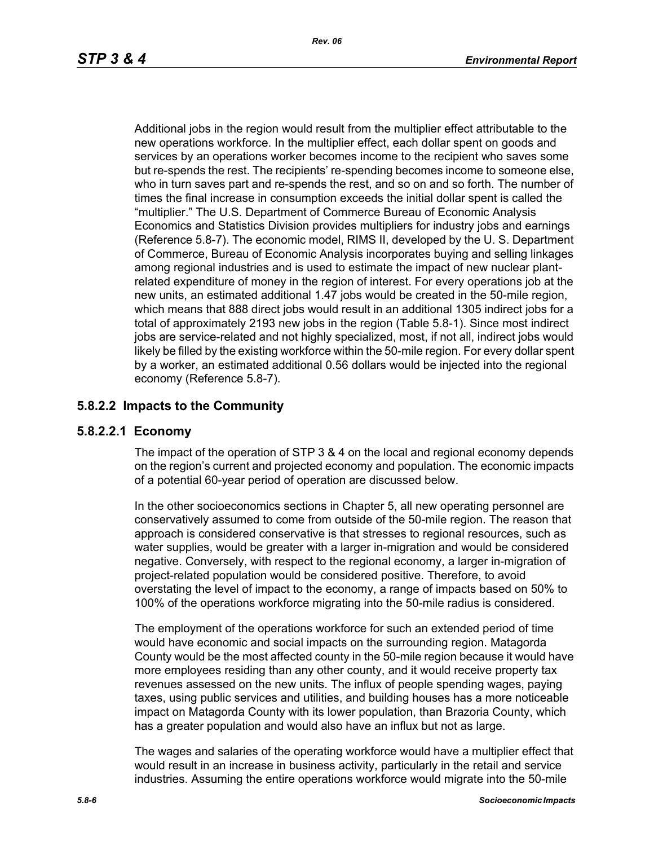Additional jobs in the region would result from the multiplier effect attributable to the new operations workforce. In the multiplier effect, each dollar spent on goods and services by an operations worker becomes income to the recipient who saves some but re-spends the rest. The recipients' re-spending becomes income to someone else, who in turn saves part and re-spends the rest, and so on and so forth. The number of times the final increase in consumption exceeds the initial dollar spent is called the "multiplier." The U.S. Department of Commerce Bureau of Economic Analysis Economics and Statistics Division provides multipliers for industry jobs and earnings (Reference 5.8-7). The economic model, RIMS II, developed by the U. S. Department of Commerce, Bureau of Economic Analysis incorporates buying and selling linkages among regional industries and is used to estimate the impact of new nuclear plantrelated expenditure of money in the region of interest. For every operations job at the new units, an estimated additional 1.47 jobs would be created in the 50-mile region, which means that 888 direct jobs would result in an additional 1305 indirect jobs for a total of approximately 2193 new jobs in the region (Table 5.8-1). Since most indirect iobs are service-related and not highly specialized, most, if not all, indirect jobs would likely be filled by the existing workforce within the 50-mile region. For every dollar spent by a worker, an estimated additional 0.56 dollars would be injected into the regional economy (Reference 5.8-7).

# **5.8.2.2 Impacts to the Community**

# **5.8.2.2.1 Economy**

The impact of the operation of STP 3 & 4 on the local and regional economy depends on the region's current and projected economy and population. The economic impacts of a potential 60-year period of operation are discussed below.

In the other socioeconomics sections in Chapter 5, all new operating personnel are conservatively assumed to come from outside of the 50-mile region. The reason that approach is considered conservative is that stresses to regional resources, such as water supplies, would be greater with a larger in-migration and would be considered negative. Conversely, with respect to the regional economy, a larger in-migration of project-related population would be considered positive. Therefore, to avoid overstating the level of impact to the economy, a range of impacts based on 50% to 100% of the operations workforce migrating into the 50-mile radius is considered.

The employment of the operations workforce for such an extended period of time would have economic and social impacts on the surrounding region. Matagorda County would be the most affected county in the 50-mile region because it would have more employees residing than any other county, and it would receive property tax revenues assessed on the new units. The influx of people spending wages, paying taxes, using public services and utilities, and building houses has a more noticeable impact on Matagorda County with its lower population, than Brazoria County, which has a greater population and would also have an influx but not as large.

The wages and salaries of the operating workforce would have a multiplier effect that would result in an increase in business activity, particularly in the retail and service industries. Assuming the entire operations workforce would migrate into the 50-mile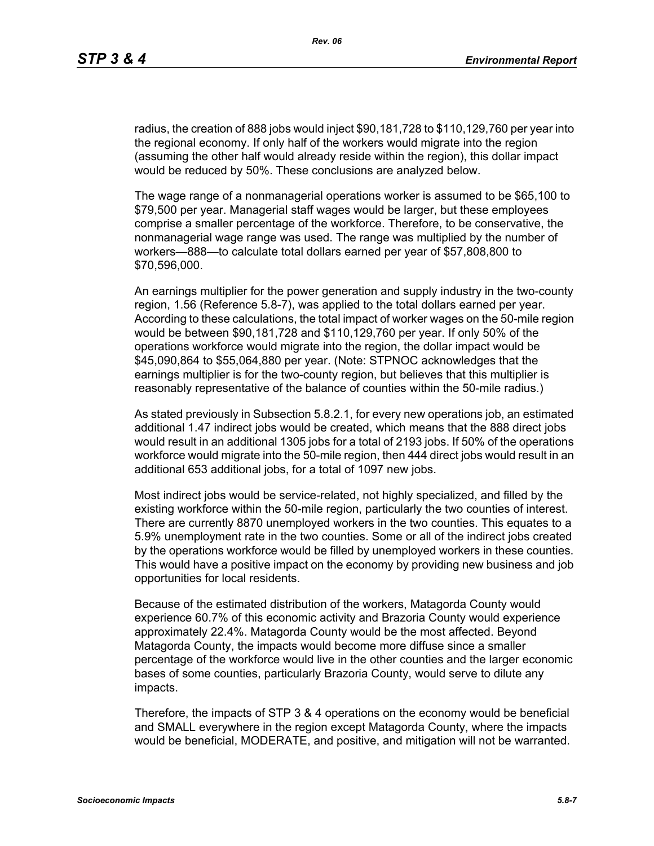radius, the creation of 888 jobs would inject \$90,181,728 to \$110,129,760 per year into the regional economy. If only half of the workers would migrate into the region (assuming the other half would already reside within the region), this dollar impact would be reduced by 50%. These conclusions are analyzed below.

The wage range of a nonmanagerial operations worker is assumed to be \$65,100 to \$79,500 per year. Managerial staff wages would be larger, but these employees comprise a smaller percentage of the workforce. Therefore, to be conservative, the nonmanagerial wage range was used. The range was multiplied by the number of workers—888—to calculate total dollars earned per year of \$57,808,800 to \$70,596,000.

An earnings multiplier for the power generation and supply industry in the two-county region, 1.56 (Reference 5.8-7), was applied to the total dollars earned per year. According to these calculations, the total impact of worker wages on the 50-mile region would be between \$90,181,728 and \$110,129,760 per year. If only 50% of the operations workforce would migrate into the region, the dollar impact would be \$45,090,864 to \$55,064,880 per year. (Note: STPNOC acknowledges that the earnings multiplier is for the two-county region, but believes that this multiplier is reasonably representative of the balance of counties within the 50-mile radius.)

As stated previously in Subsection 5.8.2.1, for every new operations job, an estimated additional 1.47 indirect jobs would be created, which means that the 888 direct jobs would result in an additional 1305 jobs for a total of 2193 jobs. If 50% of the operations workforce would migrate into the 50-mile region, then 444 direct jobs would result in an additional 653 additional jobs, for a total of 1097 new jobs.

Most indirect jobs would be service-related, not highly specialized, and filled by the existing workforce within the 50-mile region, particularly the two counties of interest. There are currently 8870 unemployed workers in the two counties. This equates to a 5.9% unemployment rate in the two counties. Some or all of the indirect jobs created by the operations workforce would be filled by unemployed workers in these counties. This would have a positive impact on the economy by providing new business and job opportunities for local residents.

Because of the estimated distribution of the workers, Matagorda County would experience 60.7% of this economic activity and Brazoria County would experience approximately 22.4%. Matagorda County would be the most affected. Beyond Matagorda County, the impacts would become more diffuse since a smaller percentage of the workforce would live in the other counties and the larger economic bases of some counties, particularly Brazoria County, would serve to dilute any impacts.

Therefore, the impacts of STP 3 & 4 operations on the economy would be beneficial and SMALL everywhere in the region except Matagorda County, where the impacts would be beneficial, MODERATE, and positive, and mitigation will not be warranted.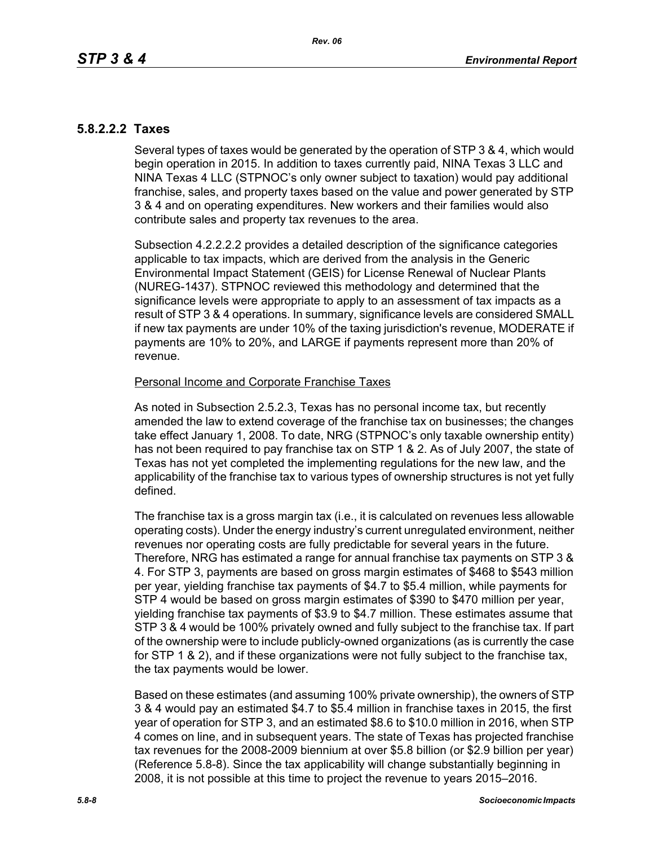# **5.8.2.2.2 Taxes**

Several types of taxes would be generated by the operation of STP 3 & 4, which would begin operation in 2015. In addition to taxes currently paid, NINA Texas 3 LLC and NINA Texas 4 LLC (STPNOC's only owner subject to taxation) would pay additional franchise, sales, and property taxes based on the value and power generated by STP 3 & 4 and on operating expenditures. New workers and their families would also contribute sales and property tax revenues to the area.

Subsection 4.2.2.2.2 provides a detailed description of the significance categories applicable to tax impacts, which are derived from the analysis in the Generic Environmental Impact Statement (GEIS) for License Renewal of Nuclear Plants (NUREG-1437). STPNOC reviewed this methodology and determined that the significance levels were appropriate to apply to an assessment of tax impacts as a result of STP 3 & 4 operations. In summary, significance levels are considered SMALL if new tax payments are under 10% of the taxing jurisdiction's revenue, MODERATE if payments are 10% to 20%, and LARGE if payments represent more than 20% of revenue.

### Personal Income and Corporate Franchise Taxes

As noted in Subsection 2.5.2.3, Texas has no personal income tax, but recently amended the law to extend coverage of the franchise tax on businesses; the changes take effect January 1, 2008. To date, NRG (STPNOC's only taxable ownership entity) has not been required to pay franchise tax on STP 1 & 2. As of July 2007, the state of Texas has not yet completed the implementing regulations for the new law, and the applicability of the franchise tax to various types of ownership structures is not yet fully defined.

The franchise tax is a gross margin tax (i.e., it is calculated on revenues less allowable operating costs). Under the energy industry's current unregulated environment, neither revenues nor operating costs are fully predictable for several years in the future. Therefore, NRG has estimated a range for annual franchise tax payments on STP 3 & 4. For STP 3, payments are based on gross margin estimates of \$468 to \$543 million per year, yielding franchise tax payments of \$4.7 to \$5.4 million, while payments for STP 4 would be based on gross margin estimates of \$390 to \$470 million per year, yielding franchise tax payments of \$3.9 to \$4.7 million. These estimates assume that STP 3 & 4 would be 100% privately owned and fully subject to the franchise tax. If part of the ownership were to include publicly-owned organizations (as is currently the case for STP 1 & 2), and if these organizations were not fully subject to the franchise tax, the tax payments would be lower.

Based on these estimates (and assuming 100% private ownership), the owners of STP 3 & 4 would pay an estimated \$4.7 to \$5.4 million in franchise taxes in 2015, the first year of operation for STP 3, and an estimated \$8.6 to \$10.0 million in 2016, when STP 4 comes on line, and in subsequent years. The state of Texas has projected franchise tax revenues for the 2008-2009 biennium at over \$5.8 billion (or \$2.9 billion per year) (Reference 5.8-8). Since the tax applicability will change substantially beginning in 2008, it is not possible at this time to project the revenue to years 2015–2016.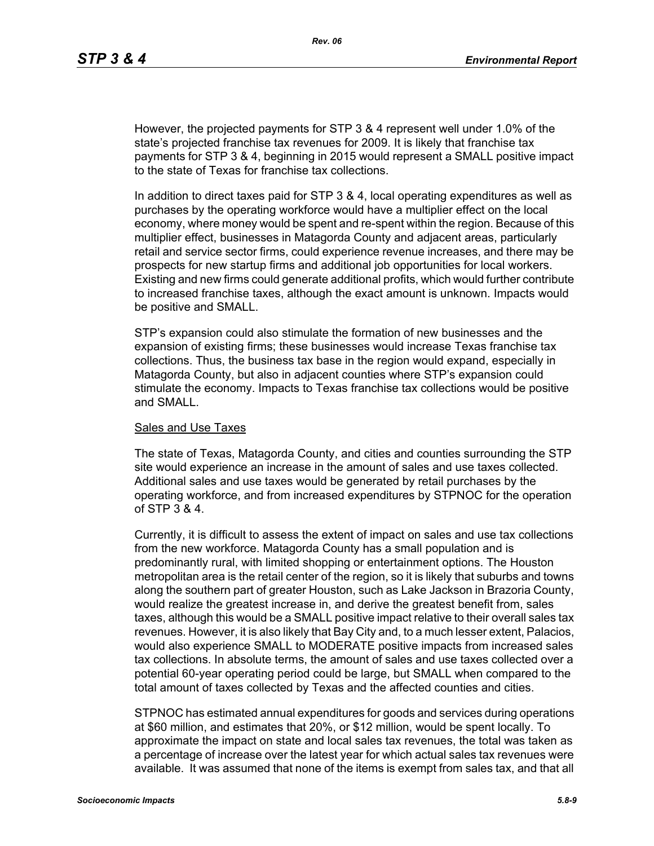However, the projected payments for STP 3 & 4 represent well under 1.0% of the state's projected franchise tax revenues for 2009. It is likely that franchise tax payments for STP 3 & 4, beginning in 2015 would represent a SMALL positive impact to the state of Texas for franchise tax collections.

In addition to direct taxes paid for STP 3 & 4, local operating expenditures as well as purchases by the operating workforce would have a multiplier effect on the local economy, where money would be spent and re-spent within the region. Because of this multiplier effect, businesses in Matagorda County and adjacent areas, particularly retail and service sector firms, could experience revenue increases, and there may be prospects for new startup firms and additional job opportunities for local workers. Existing and new firms could generate additional profits, which would further contribute to increased franchise taxes, although the exact amount is unknown. Impacts would be positive and SMALL.

STP's expansion could also stimulate the formation of new businesses and the expansion of existing firms; these businesses would increase Texas franchise tax collections. Thus, the business tax base in the region would expand, especially in Matagorda County, but also in adjacent counties where STP's expansion could stimulate the economy. Impacts to Texas franchise tax collections would be positive and SMALL.

#### Sales and Use Taxes

The state of Texas, Matagorda County, and cities and counties surrounding the STP site would experience an increase in the amount of sales and use taxes collected. Additional sales and use taxes would be generated by retail purchases by the operating workforce, and from increased expenditures by STPNOC for the operation of STP 3 & 4.

Currently, it is difficult to assess the extent of impact on sales and use tax collections from the new workforce. Matagorda County has a small population and is predominantly rural, with limited shopping or entertainment options. The Houston metropolitan area is the retail center of the region, so it is likely that suburbs and towns along the southern part of greater Houston, such as Lake Jackson in Brazoria County, would realize the greatest increase in, and derive the greatest benefit from, sales taxes, although this would be a SMALL positive impact relative to their overall sales tax revenues. However, it is also likely that Bay City and, to a much lesser extent, Palacios, would also experience SMALL to MODERATE positive impacts from increased sales tax collections. In absolute terms, the amount of sales and use taxes collected over a potential 60-year operating period could be large, but SMALL when compared to the total amount of taxes collected by Texas and the affected counties and cities.

STPNOC has estimated annual expenditures for goods and services during operations at \$60 million, and estimates that 20%, or \$12 million, would be spent locally. To approximate the impact on state and local sales tax revenues, the total was taken as a percentage of increase over the latest year for which actual sales tax revenues were available. It was assumed that none of the items is exempt from sales tax, and that all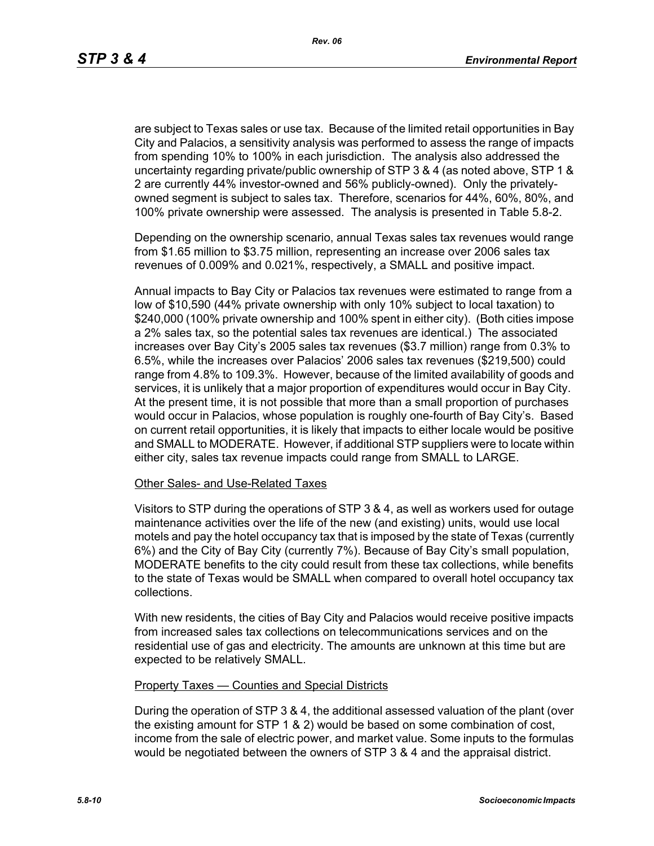are subject to Texas sales or use tax. Because of the limited retail opportunities in Bay City and Palacios, a sensitivity analysis was performed to assess the range of impacts from spending 10% to 100% in each jurisdiction. The analysis also addressed the uncertainty regarding private/public ownership of STP 3 & 4 (as noted above, STP 1 & 2 are currently 44% investor-owned and 56% publicly-owned). Only the privatelyowned segment is subject to sales tax. Therefore, scenarios for 44%, 60%, 80%, and 100% private ownership were assessed. The analysis is presented in Table 5.8-2.

Depending on the ownership scenario, annual Texas sales tax revenues would range from \$1.65 million to \$3.75 million, representing an increase over 2006 sales tax revenues of 0.009% and 0.021%, respectively, a SMALL and positive impact.

Annual impacts to Bay City or Palacios tax revenues were estimated to range from a low of \$10,590 (44% private ownership with only 10% subject to local taxation) to \$240,000 (100% private ownership and 100% spent in either city). (Both cities impose a 2% sales tax, so the potential sales tax revenues are identical.) The associated increases over Bay City's 2005 sales tax revenues (\$3.7 million) range from 0.3% to 6.5%, while the increases over Palacios' 2006 sales tax revenues (\$219,500) could range from 4.8% to 109.3%. However, because of the limited availability of goods and services, it is unlikely that a major proportion of expenditures would occur in Bay City. At the present time, it is not possible that more than a small proportion of purchases would occur in Palacios, whose population is roughly one-fourth of Bay City's. Based on current retail opportunities, it is likely that impacts to either locale would be positive and SMALL to MODERATE. However, if additional STP suppliers were to locate within either city, sales tax revenue impacts could range from SMALL to LARGE.

#### Other Sales- and Use-Related Taxes

Visitors to STP during the operations of STP 3 & 4, as well as workers used for outage maintenance activities over the life of the new (and existing) units, would use local motels and pay the hotel occupancy tax that is imposed by the state of Texas (currently 6%) and the City of Bay City (currently 7%). Because of Bay City's small population, MODERATE benefits to the city could result from these tax collections, while benefits to the state of Texas would be SMALL when compared to overall hotel occupancy tax collections.

With new residents, the cities of Bay City and Palacios would receive positive impacts from increased sales tax collections on telecommunications services and on the residential use of gas and electricity. The amounts are unknown at this time but are expected to be relatively SMALL.

#### Property Taxes — Counties and Special Districts

During the operation of STP 3 & 4, the additional assessed valuation of the plant (over the existing amount for STP 1 & 2) would be based on some combination of cost, income from the sale of electric power, and market value. Some inputs to the formulas would be negotiated between the owners of STP 3 & 4 and the appraisal district.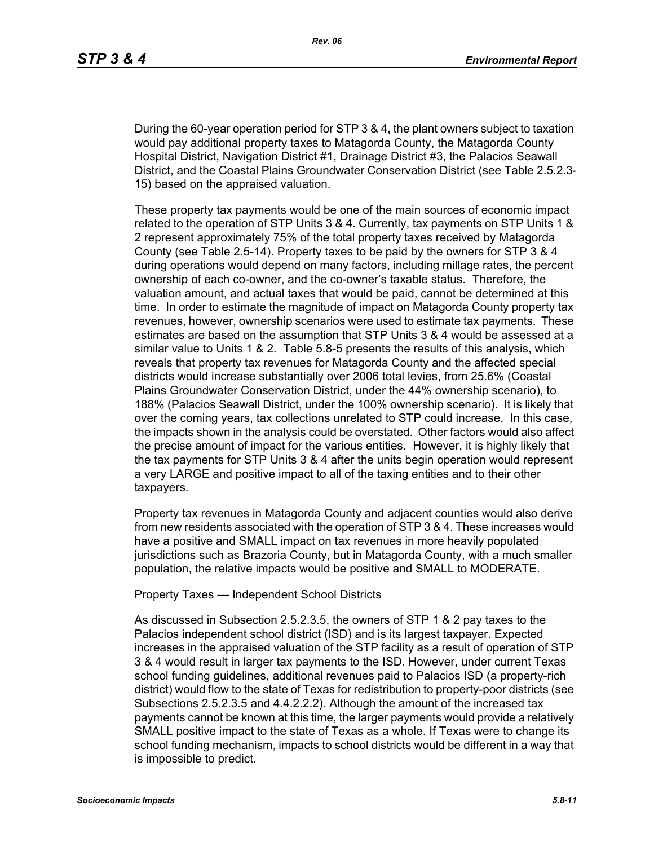During the 60-year operation period for STP 3 & 4, the plant owners subject to taxation would pay additional property taxes to Matagorda County, the Matagorda County Hospital District, Navigation District #1, Drainage District #3, the Palacios Seawall District, and the Coastal Plains Groundwater Conservation District (see Table 2.5.2.3- 15) based on the appraised valuation.

These property tax payments would be one of the main sources of economic impact related to the operation of STP Units 3 & 4. Currently, tax payments on STP Units 1 & 2 represent approximately 75% of the total property taxes received by Matagorda County (see Table 2.5-14). Property taxes to be paid by the owners for STP 3 & 4 during operations would depend on many factors, including millage rates, the percent ownership of each co-owner, and the co-owner's taxable status. Therefore, the valuation amount, and actual taxes that would be paid, cannot be determined at this time. In order to estimate the magnitude of impact on Matagorda County property tax revenues, however, ownership scenarios were used to estimate tax payments. These estimates are based on the assumption that STP Units 3 & 4 would be assessed at a similar value to Units 1 & 2. Table 5.8-5 presents the results of this analysis, which reveals that property tax revenues for Matagorda County and the affected special districts would increase substantially over 2006 total levies, from 25.6% (Coastal Plains Groundwater Conservation District, under the 44% ownership scenario), to 188% (Palacios Seawall District, under the 100% ownership scenario). It is likely that over the coming years, tax collections unrelated to STP could increase. In this case, the impacts shown in the analysis could be overstated. Other factors would also affect the precise amount of impact for the various entities. However, it is highly likely that the tax payments for STP Units 3 & 4 after the units begin operation would represent a very LARGE and positive impact to all of the taxing entities and to their other taxpayers.

Property tax revenues in Matagorda County and adjacent counties would also derive from new residents associated with the operation of STP 3 & 4. These increases would have a positive and SMALL impact on tax revenues in more heavily populated jurisdictions such as Brazoria County, but in Matagorda County, with a much smaller population, the relative impacts would be positive and SMALL to MODERATE.

#### Property Taxes — Independent School Districts

As discussed in Subsection 2.5.2.3.5, the owners of STP 1 & 2 pay taxes to the Palacios independent school district (ISD) and is its largest taxpayer. Expected increases in the appraised valuation of the STP facility as a result of operation of STP 3 & 4 would result in larger tax payments to the ISD. However, under current Texas school funding guidelines, additional revenues paid to Palacios ISD (a property-rich district) would flow to the state of Texas for redistribution to property-poor districts (see Subsections 2.5.2.3.5 and 4.4.2.2.2). Although the amount of the increased tax payments cannot be known at this time, the larger payments would provide a relatively SMALL positive impact to the state of Texas as a whole. If Texas were to change its school funding mechanism, impacts to school districts would be different in a way that is impossible to predict.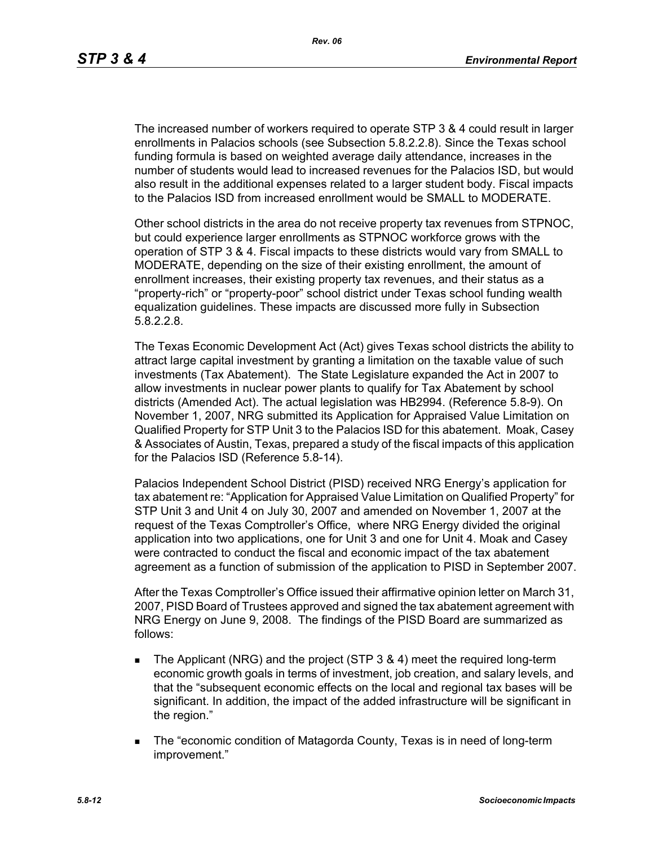The increased number of workers required to operate STP 3 & 4 could result in larger enrollments in Palacios schools (see Subsection 5.8.2.2.8). Since the Texas school funding formula is based on weighted average daily attendance, increases in the number of students would lead to increased revenues for the Palacios ISD, but would also result in the additional expenses related to a larger student body. Fiscal impacts to the Palacios ISD from increased enrollment would be SMALL to MODERATE.

Other school districts in the area do not receive property tax revenues from STPNOC, but could experience larger enrollments as STPNOC workforce grows with the operation of STP 3 & 4. Fiscal impacts to these districts would vary from SMALL to MODERATE, depending on the size of their existing enrollment, the amount of enrollment increases, their existing property tax revenues, and their status as a "property-rich" or "property-poor" school district under Texas school funding wealth equalization guidelines. These impacts are discussed more fully in Subsection 5.8.2.2.8.

The Texas Economic Development Act (Act) gives Texas school districts the ability to attract large capital investment by granting a limitation on the taxable value of such investments (Tax Abatement). The State Legislature expanded the Act in 2007 to allow investments in nuclear power plants to qualify for Tax Abatement by school districts (Amended Act). The actual legislation was HB2994. (Reference 5.8-9). On November 1, 2007, NRG submitted its Application for Appraised Value Limitation on Qualified Property for STP Unit 3 to the Palacios ISD for this abatement. Moak, Casey & Associates of Austin, Texas, prepared a study of the fiscal impacts of this application for the Palacios ISD (Reference 5.8-14).

Palacios Independent School District (PISD) received NRG Energy's application for tax abatement re: "Application for Appraised Value Limitation on Qualified Property" for STP Unit 3 and Unit 4 on July 30, 2007 and amended on November 1, 2007 at the request of the Texas Comptroller's Office, where NRG Energy divided the original application into two applications, one for Unit 3 and one for Unit 4. Moak and Casey were contracted to conduct the fiscal and economic impact of the tax abatement agreement as a function of submission of the application to PISD in September 2007.

After the Texas Comptroller's Office issued their affirmative opinion letter on March 31, 2007, PISD Board of Trustees approved and signed the tax abatement agreement with NRG Energy on June 9, 2008. The findings of the PISD Board are summarized as follows:

- The Applicant (NRG) and the project (STP 3 & 4) meet the required long-term economic growth goals in terms of investment, job creation, and salary levels, and that the "subsequent economic effects on the local and regional tax bases will be significant. In addition, the impact of the added infrastructure will be significant in the region."
- The "economic condition of Matagorda County, Texas is in need of long-term improvement."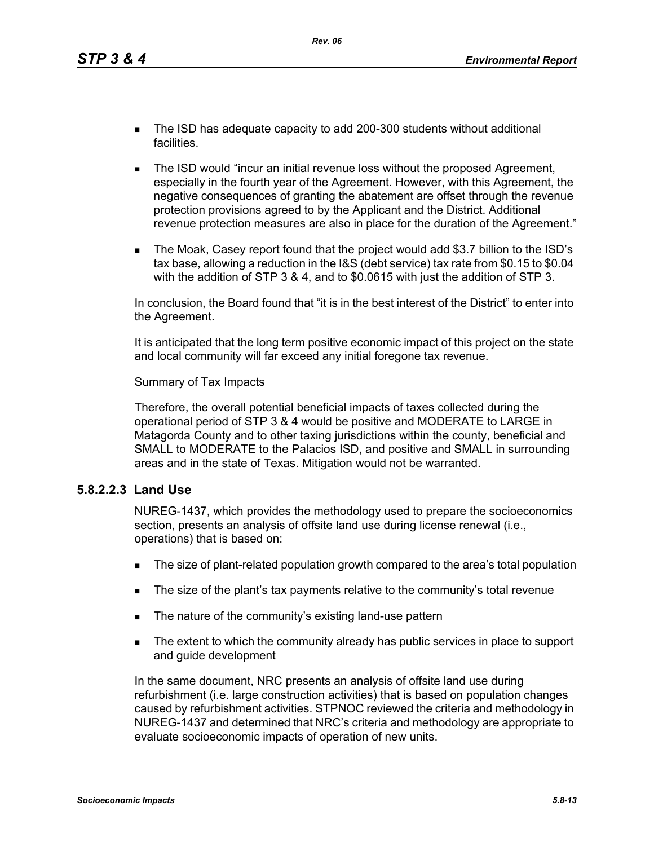- The ISD has adequate capacity to add 200-300 students without additional facilities.
- **The ISD would "incur an initial revenue loss without the proposed Agreement,** especially in the fourth year of the Agreement. However, with this Agreement, the negative consequences of granting the abatement are offset through the revenue protection provisions agreed to by the Applicant and the District. Additional revenue protection measures are also in place for the duration of the Agreement."
- The Moak, Casey report found that the project would add \$3.7 billion to the ISD's tax base, allowing a reduction in the I&S (debt service) tax rate from \$0.15 to \$0.04 with the addition of STP 3 & 4, and to \$0.0615 with just the addition of STP 3.

In conclusion, the Board found that "it is in the best interest of the District" to enter into the Agreement.

It is anticipated that the long term positive economic impact of this project on the state and local community will far exceed any initial foregone tax revenue.

#### Summary of Tax Impacts

Therefore, the overall potential beneficial impacts of taxes collected during the operational period of STP 3 & 4 would be positive and MODERATE to LARGE in Matagorda County and to other taxing jurisdictions within the county, beneficial and SMALL to MODERATE to the Palacios ISD, and positive and SMALL in surrounding areas and in the state of Texas. Mitigation would not be warranted.

### **5.8.2.2.3 Land Use**

NUREG-1437, which provides the methodology used to prepare the socioeconomics section, presents an analysis of offsite land use during license renewal (i.e., operations) that is based on:

- The size of plant-related population growth compared to the area's total population
- The size of the plant's tax payments relative to the community's total revenue
- The nature of the community's existing land-use pattern
- The extent to which the community already has public services in place to support and guide development

In the same document, NRC presents an analysis of offsite land use during refurbishment (i.e. large construction activities) that is based on population changes caused by refurbishment activities. STPNOC reviewed the criteria and methodology in NUREG-1437 and determined that NRC's criteria and methodology are appropriate to evaluate socioeconomic impacts of operation of new units.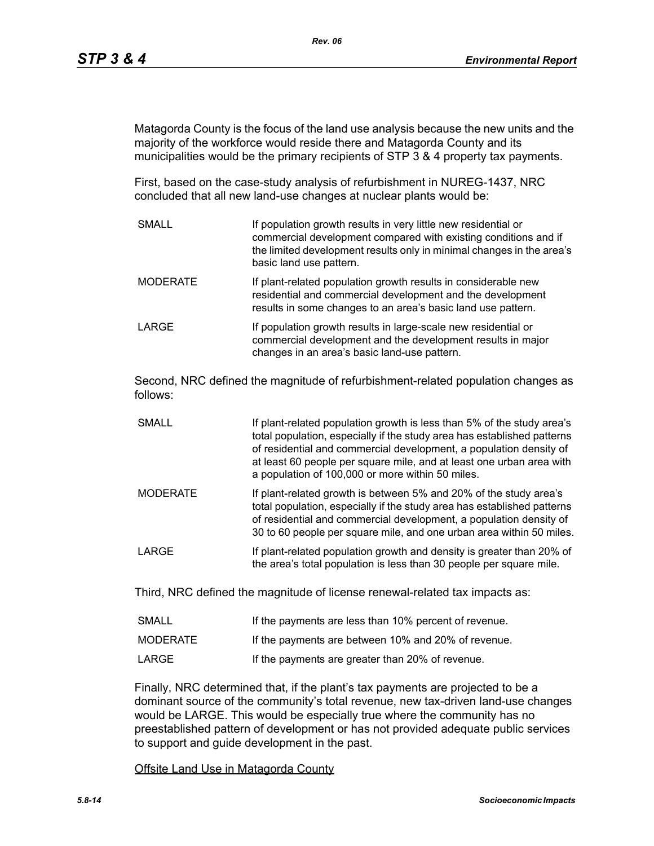Matagorda County is the focus of the land use analysis because the new units and the majority of the workforce would reside there and Matagorda County and its municipalities would be the primary recipients of STP 3 & 4 property tax payments.

First, based on the case-study analysis of refurbishment in NUREG-1437, NRC concluded that all new land-use changes at nuclear plants would be:

SMALL **If population growth results in very little new residential or** commercial development compared with existing conditions and if the limited development results only in minimal changes in the area's basic land use pattern. MODERATE **If plant-related population growth results in considerable new** residential and commercial development and the development results in some changes to an area's basic land use pattern. LARGE **If population growth results in large-scale new residential or** commercial development and the development results in major changes in an area's basic land-use pattern.

Second, NRC defined the magnitude of refurbishment-related population changes as follows:

- SMALL **If plant-related population growth is less than 5% of the study area's** total population, especially if the study area has established patterns of residential and commercial development, a population density of at least 60 people per square mile, and at least one urban area with a population of 100,000 or more within 50 miles.
- MODERATE If plant-related growth is between 5% and 20% of the study area's total population, especially if the study area has established patterns of residential and commercial development, a population density of 30 to 60 people per square mile, and one urban area within 50 miles.
- LARGE **If plant-related population growth and density is greater than 20% of** the area's total population is less than 30 people per square mile.

Third, NRC defined the magnitude of license renewal-related tax impacts as:

| <b>SMALL</b> | If the payments are less than 10% percent of revenue. |
|--------------|-------------------------------------------------------|
| MODERATE     | If the payments are between 10% and 20% of revenue.   |
| LARGE        | If the payments are greater than 20% of revenue.      |

Finally, NRC determined that, if the plant's tax payments are projected to be a dominant source of the community's total revenue, new tax-driven land-use changes would be LARGE. This would be especially true where the community has no preestablished pattern of development or has not provided adequate public services to support and guide development in the past.

Offsite Land Use in Matagorda County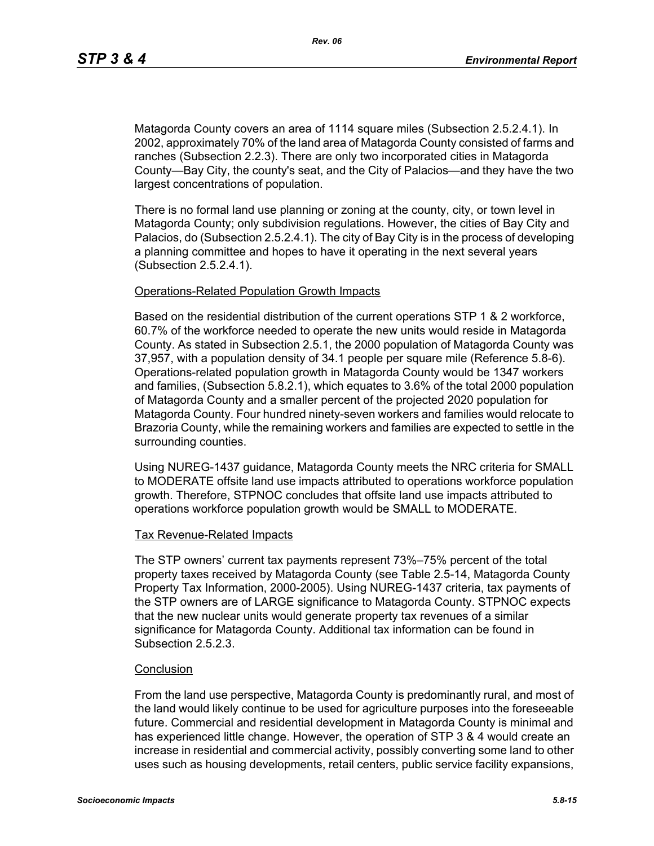Matagorda County covers an area of 1114 square miles (Subsection 2.5.2.4.1). In 2002, approximately 70% of the land area of Matagorda County consisted of farms and ranches (Subsection 2.2.3). There are only two incorporated cities in Matagorda County—Bay City, the county's seat, and the City of Palacios—and they have the two largest concentrations of population.

There is no formal land use planning or zoning at the county, city, or town level in Matagorda County; only subdivision regulations. However, the cities of Bay City and Palacios, do (Subsection 2.5.2.4.1). The city of Bay City is in the process of developing a planning committee and hopes to have it operating in the next several years (Subsection 2.5.2.4.1).

#### Operations-Related Population Growth Impacts

Based on the residential distribution of the current operations STP 1 & 2 workforce, 60.7% of the workforce needed to operate the new units would reside in Matagorda County. As stated in Subsection 2.5.1, the 2000 population of Matagorda County was 37,957, with a population density of 34.1 people per square mile (Reference 5.8-6). Operations-related population growth in Matagorda County would be 1347 workers and families, (Subsection 5.8.2.1), which equates to 3.6% of the total 2000 population of Matagorda County and a smaller percent of the projected 2020 population for Matagorda County. Four hundred ninety-seven workers and families would relocate to Brazoria County, while the remaining workers and families are expected to settle in the surrounding counties.

Using NUREG-1437 guidance, Matagorda County meets the NRC criteria for SMALL to MODERATE offsite land use impacts attributed to operations workforce population growth. Therefore, STPNOC concludes that offsite land use impacts attributed to operations workforce population growth would be SMALL to MODERATE.

#### Tax Revenue-Related Impacts

The STP owners' current tax payments represent 73%–75% percent of the total property taxes received by Matagorda County (see Table 2.5-14, Matagorda County Property Tax Information, 2000-2005). Using NUREG-1437 criteria, tax payments of the STP owners are of LARGE significance to Matagorda County. STPNOC expects that the new nuclear units would generate property tax revenues of a similar significance for Matagorda County. Additional tax information can be found in Subsection 2.5.2.3

#### **Conclusion**

From the land use perspective, Matagorda County is predominantly rural, and most of the land would likely continue to be used for agriculture purposes into the foreseeable future. Commercial and residential development in Matagorda County is minimal and has experienced little change. However, the operation of STP 3 & 4 would create an increase in residential and commercial activity, possibly converting some land to other uses such as housing developments, retail centers, public service facility expansions,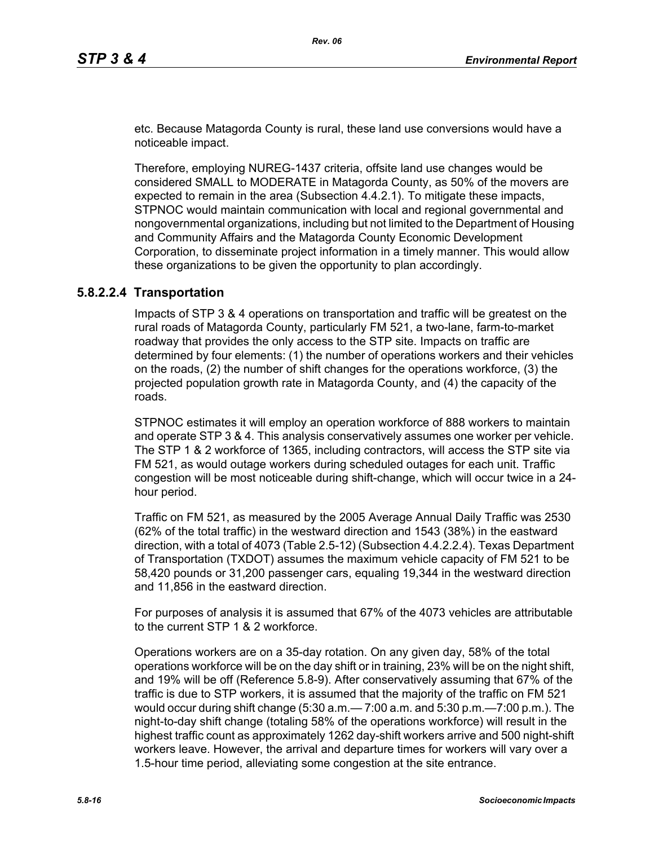etc. Because Matagorda County is rural, these land use conversions would have a noticeable impact.

Therefore, employing NUREG-1437 criteria, offsite land use changes would be considered SMALL to MODERATE in Matagorda County, as 50% of the movers are expected to remain in the area (Subsection 4.4.2.1). To mitigate these impacts, STPNOC would maintain communication with local and regional governmental and nongovernmental organizations, including but not limited to the Department of Housing and Community Affairs and the Matagorda County Economic Development Corporation, to disseminate project information in a timely manner. This would allow these organizations to be given the opportunity to plan accordingly.

### **5.8.2.2.4 Transportation**

Impacts of STP 3 & 4 operations on transportation and traffic will be greatest on the rural roads of Matagorda County, particularly FM 521, a two-lane, farm-to-market roadway that provides the only access to the STP site. Impacts on traffic are determined by four elements: (1) the number of operations workers and their vehicles on the roads, (2) the number of shift changes for the operations workforce, (3) the projected population growth rate in Matagorda County, and (4) the capacity of the roads.

STPNOC estimates it will employ an operation workforce of 888 workers to maintain and operate STP 3 & 4. This analysis conservatively assumes one worker per vehicle. The STP 1 & 2 workforce of 1365, including contractors, will access the STP site via FM 521, as would outage workers during scheduled outages for each unit. Traffic congestion will be most noticeable during shift-change, which will occur twice in a 24 hour period.

Traffic on FM 521, as measured by the 2005 Average Annual Daily Traffic was 2530 (62% of the total traffic) in the westward direction and 1543 (38%) in the eastward direction, with a total of 4073 (Table 2.5-12) (Subsection 4.4.2.2.4). Texas Department of Transportation (TXDOT) assumes the maximum vehicle capacity of FM 521 to be 58,420 pounds or 31,200 passenger cars, equaling 19,344 in the westward direction and 11,856 in the eastward direction.

For purposes of analysis it is assumed that 67% of the 4073 vehicles are attributable to the current STP 1 & 2 workforce.

Operations workers are on a 35-day rotation. On any given day, 58% of the total operations workforce will be on the day shift or in training, 23% will be on the night shift, and 19% will be off (Reference 5.8-9). After conservatively assuming that 67% of the traffic is due to STP workers, it is assumed that the majority of the traffic on FM 521 would occur during shift change (5:30 a.m.— 7:00 a.m. and 5:30 p.m.—7:00 p.m.). The night-to-day shift change (totaling 58% of the operations workforce) will result in the highest traffic count as approximately 1262 day-shift workers arrive and 500 night-shift workers leave. However, the arrival and departure times for workers will vary over a 1.5-hour time period, alleviating some congestion at the site entrance.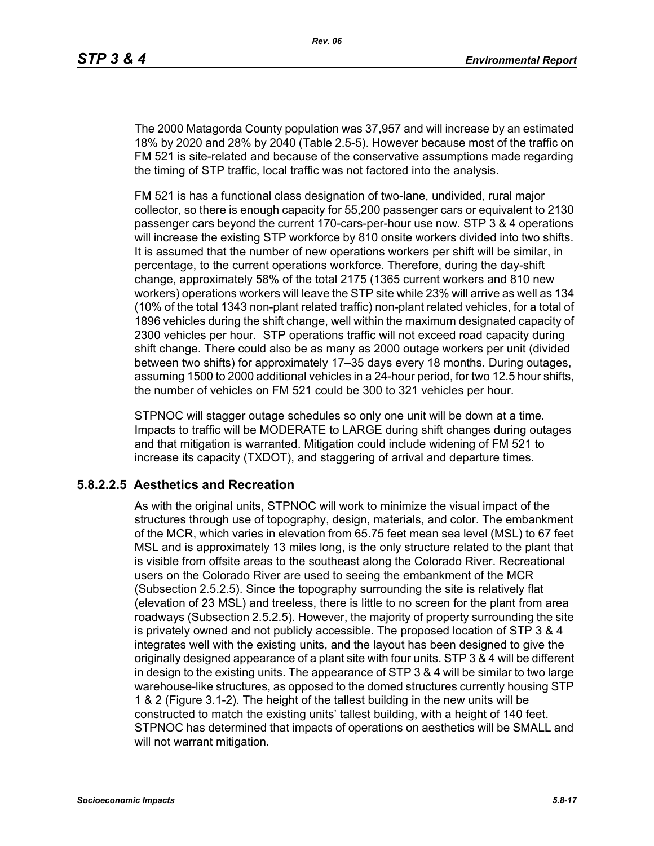The 2000 Matagorda County population was 37,957 and will increase by an estimated 18% by 2020 and 28% by 2040 (Table 2.5-5). However because most of the traffic on FM 521 is site-related and because of the conservative assumptions made regarding the timing of STP traffic, local traffic was not factored into the analysis.

FM 521 is has a functional class designation of two-lane, undivided, rural major collector, so there is enough capacity for 55,200 passenger cars or equivalent to 2130 passenger cars beyond the current 170-cars-per-hour use now. STP 3 & 4 operations will increase the existing STP workforce by 810 onsite workers divided into two shifts. It is assumed that the number of new operations workers per shift will be similar, in percentage, to the current operations workforce. Therefore, during the day-shift change, approximately 58% of the total 2175 (1365 current workers and 810 new workers) operations workers will leave the STP site while 23% will arrive as well as 134 (10% of the total 1343 non-plant related traffic) non-plant related vehicles, for a total of 1896 vehicles during the shift change, well within the maximum designated capacity of 2300 vehicles per hour. STP operations traffic will not exceed road capacity during shift change. There could also be as many as 2000 outage workers per unit (divided between two shifts) for approximately 17–35 days every 18 months. During outages, assuming 1500 to 2000 additional vehicles in a 24-hour period, for two 12.5 hour shifts, the number of vehicles on FM 521 could be 300 to 321 vehicles per hour.

STPNOC will stagger outage schedules so only one unit will be down at a time. Impacts to traffic will be MODERATE to LARGE during shift changes during outages and that mitigation is warranted. Mitigation could include widening of FM 521 to increase its capacity (TXDOT), and staggering of arrival and departure times.

### **5.8.2.2.5 Aesthetics and Recreation**

As with the original units, STPNOC will work to minimize the visual impact of the structures through use of topography, design, materials, and color. The embankment of the MCR, which varies in elevation from 65.75 feet mean sea level (MSL) to 67 feet MSL and is approximately 13 miles long, is the only structure related to the plant that is visible from offsite areas to the southeast along the Colorado River. Recreational users on the Colorado River are used to seeing the embankment of the MCR (Subsection 2.5.2.5). Since the topography surrounding the site is relatively flat (elevation of 23 MSL) and treeless, there is little to no screen for the plant from area roadways (Subsection 2.5.2.5). However, the majority of property surrounding the site is privately owned and not publicly accessible. The proposed location of STP 3 & 4 integrates well with the existing units, and the layout has been designed to give the originally designed appearance of a plant site with four units. STP 3 & 4 will be different in design to the existing units. The appearance of STP 3 & 4 will be similar to two large warehouse-like structures, as opposed to the domed structures currently housing STP 1 & 2 (Figure 3.1-2). The height of the tallest building in the new units will be constructed to match the existing units' tallest building, with a height of 140 feet. STPNOC has determined that impacts of operations on aesthetics will be SMALL and will not warrant mitigation.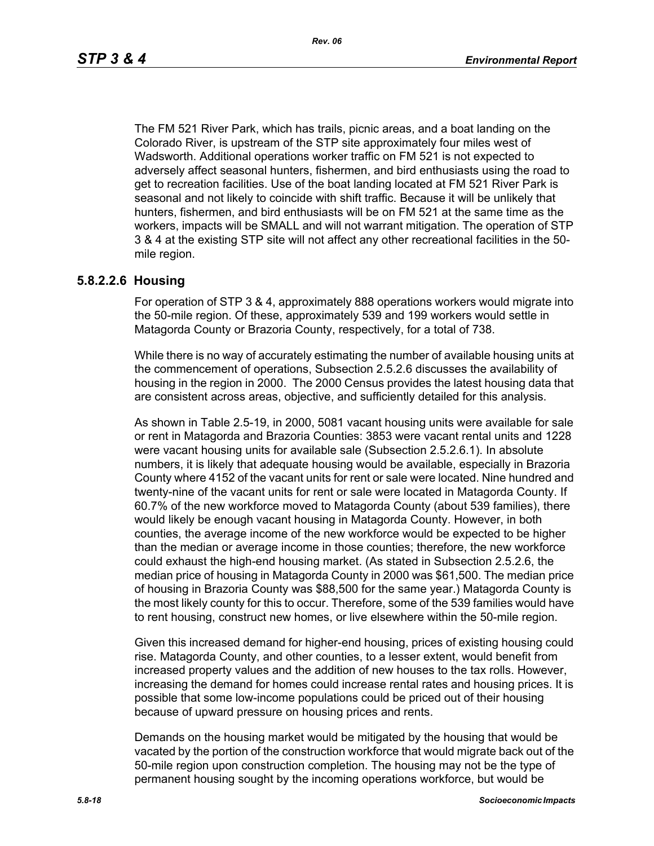The FM 521 River Park, which has trails, picnic areas, and a boat landing on the Colorado River, is upstream of the STP site approximately four miles west of Wadsworth. Additional operations worker traffic on FM 521 is not expected to adversely affect seasonal hunters, fishermen, and bird enthusiasts using the road to get to recreation facilities. Use of the boat landing located at FM 521 River Park is seasonal and not likely to coincide with shift traffic. Because it will be unlikely that hunters, fishermen, and bird enthusiasts will be on FM 521 at the same time as the workers, impacts will be SMALL and will not warrant mitigation. The operation of STP 3 & 4 at the existing STP site will not affect any other recreational facilities in the 50 mile region.

#### **5.8.2.2.6 Housing**

For operation of STP 3 & 4, approximately 888 operations workers would migrate into the 50-mile region. Of these, approximately 539 and 199 workers would settle in Matagorda County or Brazoria County, respectively, for a total of 738.

While there is no way of accurately estimating the number of available housing units at the commencement of operations, Subsection 2.5.2.6 discusses the availability of housing in the region in 2000. The 2000 Census provides the latest housing data that are consistent across areas, objective, and sufficiently detailed for this analysis.

As shown in Table 2.5-19, in 2000, 5081 vacant housing units were available for sale or rent in Matagorda and Brazoria Counties: 3853 were vacant rental units and 1228 were vacant housing units for available sale (Subsection 2.5.2.6.1). In absolute numbers, it is likely that adequate housing would be available, especially in Brazoria County where 4152 of the vacant units for rent or sale were located. Nine hundred and twenty-nine of the vacant units for rent or sale were located in Matagorda County. If 60.7% of the new workforce moved to Matagorda County (about 539 families), there would likely be enough vacant housing in Matagorda County. However, in both counties, the average income of the new workforce would be expected to be higher than the median or average income in those counties; therefore, the new workforce could exhaust the high-end housing market. (As stated in Subsection 2.5.2.6, the median price of housing in Matagorda County in 2000 was \$61,500. The median price of housing in Brazoria County was \$88,500 for the same year.) Matagorda County is the most likely county for this to occur. Therefore, some of the 539 families would have to rent housing, construct new homes, or live elsewhere within the 50-mile region.

Given this increased demand for higher-end housing, prices of existing housing could rise. Matagorda County, and other counties, to a lesser extent, would benefit from increased property values and the addition of new houses to the tax rolls. However, increasing the demand for homes could increase rental rates and housing prices. It is possible that some low-income populations could be priced out of their housing because of upward pressure on housing prices and rents.

Demands on the housing market would be mitigated by the housing that would be vacated by the portion of the construction workforce that would migrate back out of the 50-mile region upon construction completion. The housing may not be the type of permanent housing sought by the incoming operations workforce, but would be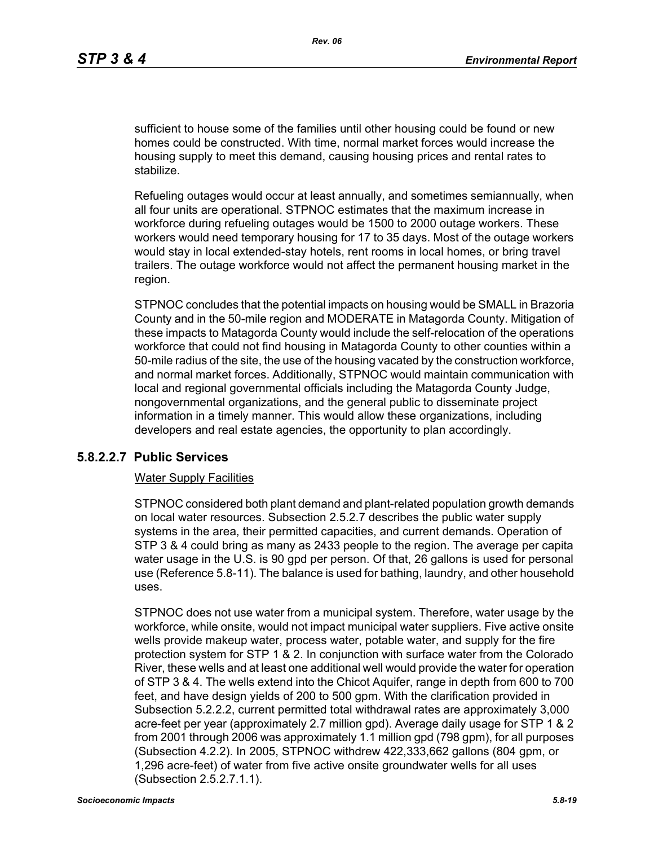sufficient to house some of the families until other housing could be found or new homes could be constructed. With time, normal market forces would increase the housing supply to meet this demand, causing housing prices and rental rates to stabilize.

Refueling outages would occur at least annually, and sometimes semiannually, when all four units are operational. STPNOC estimates that the maximum increase in workforce during refueling outages would be 1500 to 2000 outage workers. These workers would need temporary housing for 17 to 35 days. Most of the outage workers would stay in local extended-stay hotels, rent rooms in local homes, or bring travel trailers. The outage workforce would not affect the permanent housing market in the region.

STPNOC concludes that the potential impacts on housing would be SMALL in Brazoria County and in the 50-mile region and MODERATE in Matagorda County. Mitigation of these impacts to Matagorda County would include the self-relocation of the operations workforce that could not find housing in Matagorda County to other counties within a 50-mile radius of the site, the use of the housing vacated by the construction workforce, and normal market forces. Additionally, STPNOC would maintain communication with local and regional governmental officials including the Matagorda County Judge, nongovernmental organizations, and the general public to disseminate project information in a timely manner. This would allow these organizations, including developers and real estate agencies, the opportunity to plan accordingly.

### **5.8.2.2.7 Public Services**

#### Water Supply Facilities

STPNOC considered both plant demand and plant-related population growth demands on local water resources. Subsection 2.5.2.7 describes the public water supply systems in the area, their permitted capacities, and current demands. Operation of STP 3 & 4 could bring as many as 2433 people to the region. The average per capita water usage in the U.S. is 90 gpd per person. Of that, 26 gallons is used for personal use (Reference 5.8-11). The balance is used for bathing, laundry, and other household uses.

STPNOC does not use water from a municipal system. Therefore, water usage by the workforce, while onsite, would not impact municipal water suppliers. Five active onsite wells provide makeup water, process water, potable water, and supply for the fire protection system for STP 1 & 2. In conjunction with surface water from the Colorado River, these wells and at least one additional well would provide the water for operation of STP 3 & 4. The wells extend into the Chicot Aquifer, range in depth from 600 to 700 feet, and have design yields of 200 to 500 gpm. With the clarification provided in Subsection 5.2.2.2, current permitted total withdrawal rates are approximately 3,000 acre-feet per year (approximately 2.7 million gpd). Average daily usage for STP 1 & 2 from 2001 through 2006 was approximately 1.1 million gpd (798 gpm), for all purposes (Subsection 4.2.2). In 2005, STPNOC withdrew 422,333,662 gallons (804 gpm, or 1,296 acre-feet) of water from five active onsite groundwater wells for all uses (Subsection 2.5.2.7.1.1).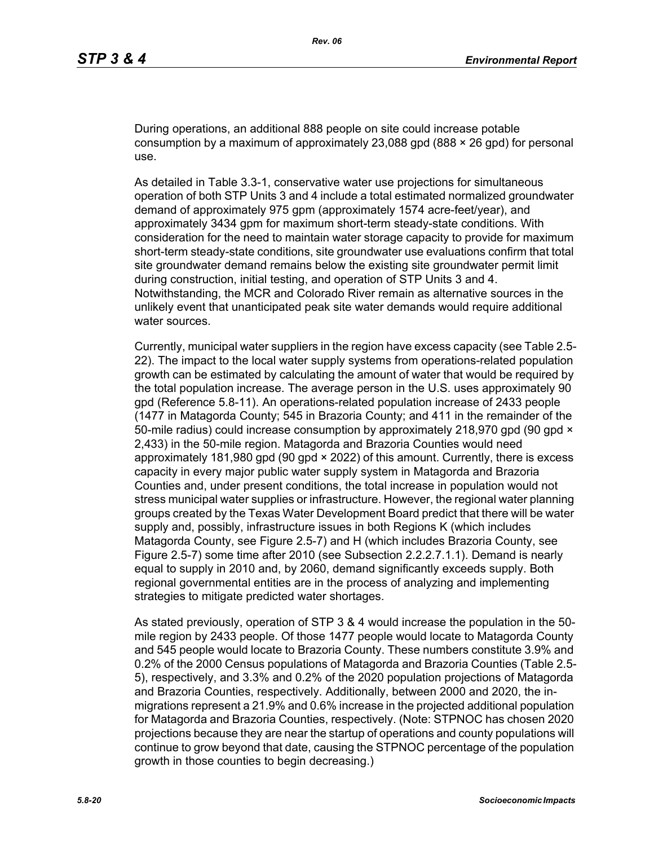During operations, an additional 888 people on site could increase potable consumption by a maximum of approximately 23,088 gpd (888  $\times$  26 gpd) for personal use.

As detailed in Table 3.3-1, conservative water use projections for simultaneous operation of both STP Units 3 and 4 include a total estimated normalized groundwater demand of approximately 975 gpm (approximately 1574 acre-feet/year), and approximately 3434 gpm for maximum short-term steady-state conditions. With consideration for the need to maintain water storage capacity to provide for maximum short-term steady-state conditions, site groundwater use evaluations confirm that total site groundwater demand remains below the existing site groundwater permit limit during construction, initial testing, and operation of STP Units 3 and 4. Notwithstanding, the MCR and Colorado River remain as alternative sources in the unlikely event that unanticipated peak site water demands would require additional water sources.

Currently, municipal water suppliers in the region have excess capacity (see Table 2.5- 22). The impact to the local water supply systems from operations-related population growth can be estimated by calculating the amount of water that would be required by the total population increase. The average person in the U.S. uses approximately 90 gpd (Reference 5.8-11). An operations-related population increase of 2433 people (1477 in Matagorda County; 545 in Brazoria County; and 411 in the remainder of the 50-mile radius) could increase consumption by approximately 218,970 gpd (90 gpd  $\times$ 2,433) in the 50-mile region. Matagorda and Brazoria Counties would need approximately 181,980 gpd (90 gpd × 2022) of this amount. Currently, there is excess capacity in every major public water supply system in Matagorda and Brazoria Counties and, under present conditions, the total increase in population would not stress municipal water supplies or infrastructure. However, the regional water planning groups created by the Texas Water Development Board predict that there will be water supply and, possibly, infrastructure issues in both Regions K (which includes Matagorda County, see Figure 2.5-7) and H (which includes Brazoria County, see Figure 2.5-7) some time after 2010 (see Subsection 2.2.2.7.1.1). Demand is nearly equal to supply in 2010 and, by 2060, demand significantly exceeds supply. Both regional governmental entities are in the process of analyzing and implementing strategies to mitigate predicted water shortages.

As stated previously, operation of STP 3 & 4 would increase the population in the 50 mile region by 2433 people. Of those 1477 people would locate to Matagorda County and 545 people would locate to Brazoria County. These numbers constitute 3.9% and 0.2% of the 2000 Census populations of Matagorda and Brazoria Counties (Table 2.5- 5), respectively, and 3.3% and 0.2% of the 2020 population projections of Matagorda and Brazoria Counties, respectively. Additionally, between 2000 and 2020, the inmigrations represent a 21.9% and 0.6% increase in the projected additional population for Matagorda and Brazoria Counties, respectively. (Note: STPNOC has chosen 2020 projections because they are near the startup of operations and county populations will continue to grow beyond that date, causing the STPNOC percentage of the population growth in those counties to begin decreasing.)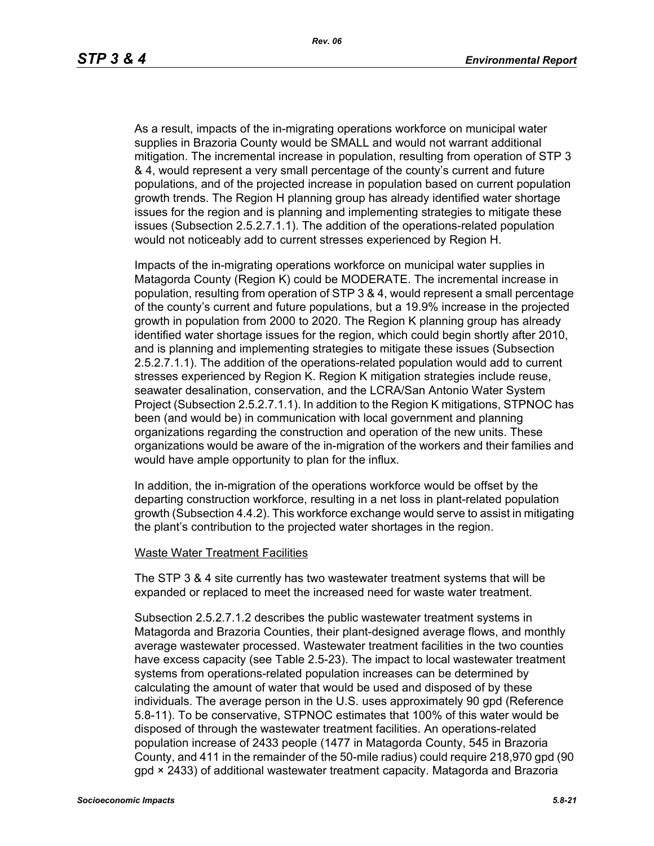As a result, impacts of the in-migrating operations workforce on municipal water supplies in Brazoria County would be SMALL and would not warrant additional mitigation. The incremental increase in population, resulting from operation of STP 3 & 4, would represent a very small percentage of the county's current and future populations, and of the projected increase in population based on current population growth trends. The Region H planning group has already identified water shortage issues for the region and is planning and implementing strategies to mitigate these issues (Subsection 2.5.2.7.1.1). The addition of the operations-related population would not noticeably add to current stresses experienced by Region H.

Impacts of the in-migrating operations workforce on municipal water supplies in Matagorda County (Region K) could be MODERATE. The incremental increase in population, resulting from operation of STP 3 & 4, would represent a small percentage of the county's current and future populations, but a 19.9% increase in the projected growth in population from 2000 to 2020. The Region K planning group has already identified water shortage issues for the region, which could begin shortly after 2010, and is planning and implementing strategies to mitigate these issues (Subsection 2.5.2.7.1.1). The addition of the operations-related population would add to current stresses experienced by Region K. Region K mitigation strategies include reuse, seawater desalination, conservation, and the LCRA/San Antonio Water System Project (Subsection 2.5.2.7.1.1). In addition to the Region K mitigations, STPNOC has been (and would be) in communication with local government and planning organizations regarding the construction and operation of the new units. These organizations would be aware of the in-migration of the workers and their families and would have ample opportunity to plan for the influx.

In addition, the in-migration of the operations workforce would be offset by the departing construction workforce, resulting in a net loss in plant-related population growth (Subsection 4.4.2). This workforce exchange would serve to assist in mitigating the plant's contribution to the projected water shortages in the region.

#### Waste Water Treatment Facilities

The STP 3 & 4 site currently has two wastewater treatment systems that will be expanded or replaced to meet the increased need for waste water treatment.

Subsection 2.5.2.7.1.2 describes the public wastewater treatment systems in Matagorda and Brazoria Counties, their plant-designed average flows, and monthly average wastewater processed. Wastewater treatment facilities in the two counties have excess capacity (see Table 2.5-23). The impact to local wastewater treatment systems from operations-related population increases can be determined by calculating the amount of water that would be used and disposed of by these individuals. The average person in the U.S. uses approximately 90 gpd (Reference 5.8-11). To be conservative, STPNOC estimates that 100% of this water would be disposed of through the wastewater treatment facilities. An operations-related population increase of 2433 people (1477 in Matagorda County, 545 in Brazoria County, and 411 in the remainder of the 50-mile radius) could require 218,970 gpd (90 gpd × 2433) of additional wastewater treatment capacity. Matagorda and Brazoria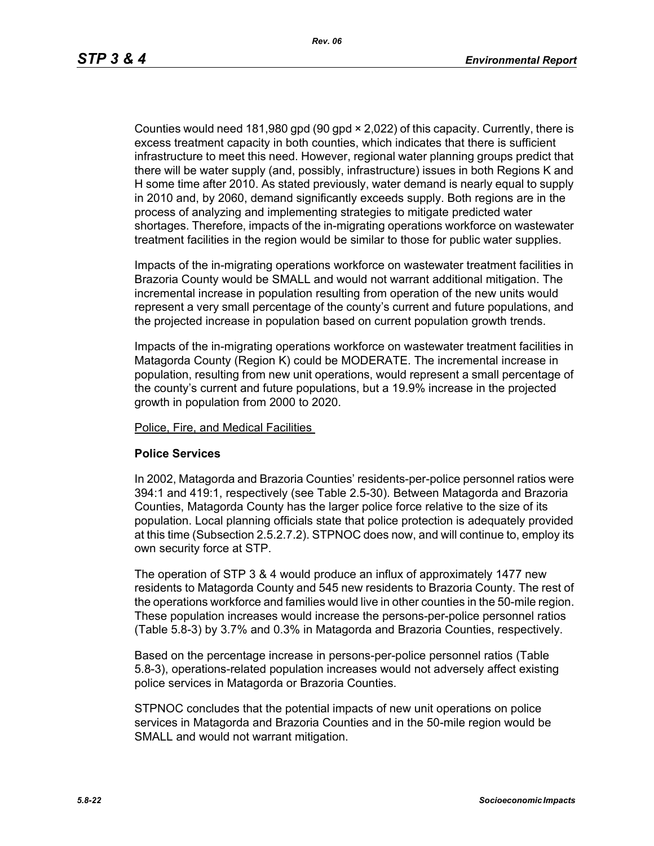Counties would need 181,980 gpd (90 gpd × 2,022) of this capacity. Currently, there is excess treatment capacity in both counties, which indicates that there is sufficient infrastructure to meet this need. However, regional water planning groups predict that there will be water supply (and, possibly, infrastructure) issues in both Regions K and H some time after 2010. As stated previously, water demand is nearly equal to supply in 2010 and, by 2060, demand significantly exceeds supply. Both regions are in the process of analyzing and implementing strategies to mitigate predicted water shortages. Therefore, impacts of the in-migrating operations workforce on wastewater treatment facilities in the region would be similar to those for public water supplies.

Impacts of the in-migrating operations workforce on wastewater treatment facilities in Brazoria County would be SMALL and would not warrant additional mitigation. The incremental increase in population resulting from operation of the new units would represent a very small percentage of the county's current and future populations, and the projected increase in population based on current population growth trends.

Impacts of the in-migrating operations workforce on wastewater treatment facilities in Matagorda County (Region K) could be MODERATE. The incremental increase in population, resulting from new unit operations, would represent a small percentage of the county's current and future populations, but a 19.9% increase in the projected growth in population from 2000 to 2020.

Police, Fire, and Medical Facilities

#### **Police Services**

In 2002, Matagorda and Brazoria Counties' residents-per-police personnel ratios were 394:1 and 419:1, respectively (see Table 2.5-30). Between Matagorda and Brazoria Counties, Matagorda County has the larger police force relative to the size of its population. Local planning officials state that police protection is adequately provided at this time (Subsection 2.5.2.7.2). STPNOC does now, and will continue to, employ its own security force at STP.

The operation of STP 3 & 4 would produce an influx of approximately 1477 new residents to Matagorda County and 545 new residents to Brazoria County. The rest of the operations workforce and families would live in other counties in the 50-mile region. These population increases would increase the persons-per-police personnel ratios (Table 5.8-3) by 3.7% and 0.3% in Matagorda and Brazoria Counties, respectively.

Based on the percentage increase in persons-per-police personnel ratios (Table 5.8-3), operations-related population increases would not adversely affect existing police services in Matagorda or Brazoria Counties.

STPNOC concludes that the potential impacts of new unit operations on police services in Matagorda and Brazoria Counties and in the 50-mile region would be SMALL and would not warrant mitigation.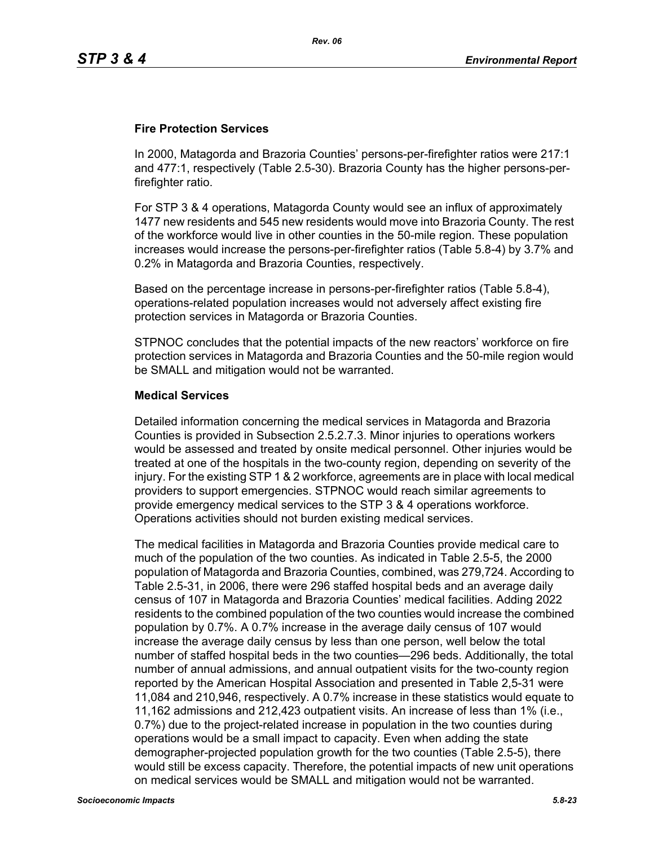### **Fire Protection Services**

In 2000, Matagorda and Brazoria Counties' persons-per-firefighter ratios were 217:1 and 477:1, respectively (Table 2.5-30). Brazoria County has the higher persons-perfirefighter ratio.

For STP 3 & 4 operations, Matagorda County would see an influx of approximately 1477 new residents and 545 new residents would move into Brazoria County. The rest of the workforce would live in other counties in the 50-mile region. These population increases would increase the persons-per-firefighter ratios (Table 5.8-4) by 3.7% and 0.2% in Matagorda and Brazoria Counties, respectively.

Based on the percentage increase in persons-per-firefighter ratios (Table 5.8-4), operations-related population increases would not adversely affect existing fire protection services in Matagorda or Brazoria Counties.

STPNOC concludes that the potential impacts of the new reactors' workforce on fire protection services in Matagorda and Brazoria Counties and the 50-mile region would be SMALL and mitigation would not be warranted.

### **Medical Services**

Detailed information concerning the medical services in Matagorda and Brazoria Counties is provided in Subsection 2.5.2.7.3. Minor injuries to operations workers would be assessed and treated by onsite medical personnel. Other injuries would be treated at one of the hospitals in the two-county region, depending on severity of the injury. For the existing STP 1 & 2 workforce, agreements are in place with local medical providers to support emergencies. STPNOC would reach similar agreements to provide emergency medical services to the STP 3 & 4 operations workforce. Operations activities should not burden existing medical services.

The medical facilities in Matagorda and Brazoria Counties provide medical care to much of the population of the two counties. As indicated in Table 2.5-5, the 2000 population of Matagorda and Brazoria Counties, combined, was 279,724. According to Table 2.5-31, in 2006, there were 296 staffed hospital beds and an average daily census of 107 in Matagorda and Brazoria Counties' medical facilities. Adding 2022 residents to the combined population of the two counties would increase the combined population by 0.7%. A 0.7% increase in the average daily census of 107 would increase the average daily census by less than one person, well below the total number of staffed hospital beds in the two counties—296 beds. Additionally, the total number of annual admissions, and annual outpatient visits for the two-county region reported by the American Hospital Association and presented in Table 2,5-31 were 11,084 and 210,946, respectively. A 0.7% increase in these statistics would equate to 11,162 admissions and 212,423 outpatient visits. An increase of less than 1% (i.e., 0.7%) due to the project-related increase in population in the two counties during operations would be a small impact to capacity. Even when adding the state demographer-projected population growth for the two counties (Table 2.5-5), there would still be excess capacity. Therefore, the potential impacts of new unit operations on medical services would be SMALL and mitigation would not be warranted.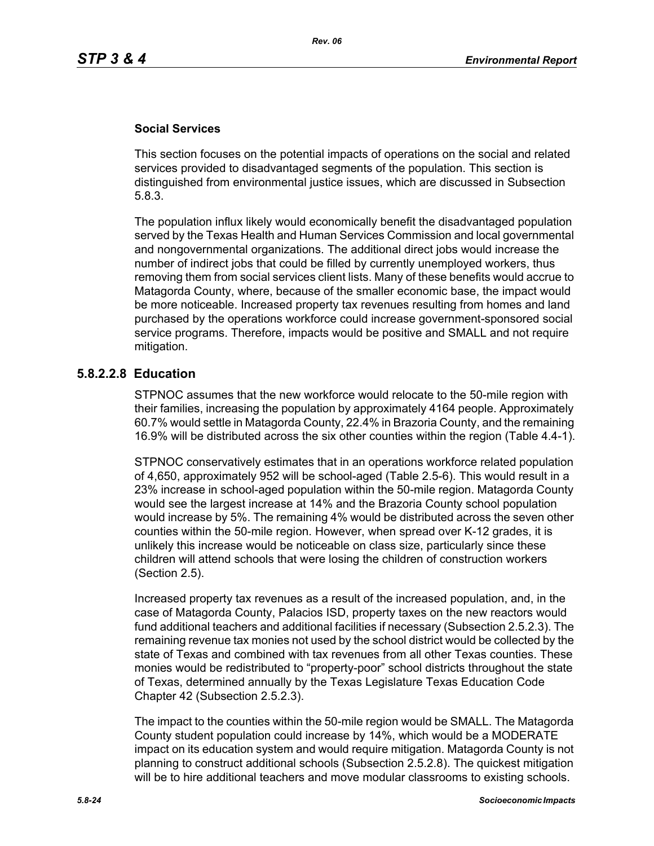### **Social Services**

This section focuses on the potential impacts of operations on the social and related services provided to disadvantaged segments of the population. This section is distinguished from environmental justice issues, which are discussed in Subsection 5.8.3.

The population influx likely would economically benefit the disadvantaged population served by the Texas Health and Human Services Commission and local governmental and nongovernmental organizations. The additional direct jobs would increase the number of indirect jobs that could be filled by currently unemployed workers, thus removing them from social services client lists. Many of these benefits would accrue to Matagorda County, where, because of the smaller economic base, the impact would be more noticeable. Increased property tax revenues resulting from homes and land purchased by the operations workforce could increase government-sponsored social service programs. Therefore, impacts would be positive and SMALL and not require mitigation.

## **5.8.2.2.8 Education**

STPNOC assumes that the new workforce would relocate to the 50-mile region with their families, increasing the population by approximately 4164 people. Approximately 60.7% would settle in Matagorda County, 22.4% in Brazoria County, and the remaining 16.9% will be distributed across the six other counties within the region (Table 4.4-1).

STPNOC conservatively estimates that in an operations workforce related population of 4,650, approximately 952 will be school-aged (Table 2.5-6). This would result in a 23% increase in school-aged population within the 50-mile region. Matagorda County would see the largest increase at 14% and the Brazoria County school population would increase by 5%. The remaining 4% would be distributed across the seven other counties within the 50-mile region. However, when spread over K-12 grades, it is unlikely this increase would be noticeable on class size, particularly since these children will attend schools that were losing the children of construction workers (Section 2.5).

Increased property tax revenues as a result of the increased population, and, in the case of Matagorda County, Palacios ISD, property taxes on the new reactors would fund additional teachers and additional facilities if necessary (Subsection 2.5.2.3). The remaining revenue tax monies not used by the school district would be collected by the state of Texas and combined with tax revenues from all other Texas counties. These monies would be redistributed to "property-poor" school districts throughout the state of Texas, determined annually by the Texas Legislature Texas Education Code Chapter 42 (Subsection 2.5.2.3).

The impact to the counties within the 50-mile region would be SMALL. The Matagorda County student population could increase by 14%, which would be a MODERATE impact on its education system and would require mitigation. Matagorda County is not planning to construct additional schools (Subsection 2.5.2.8). The quickest mitigation will be to hire additional teachers and move modular classrooms to existing schools.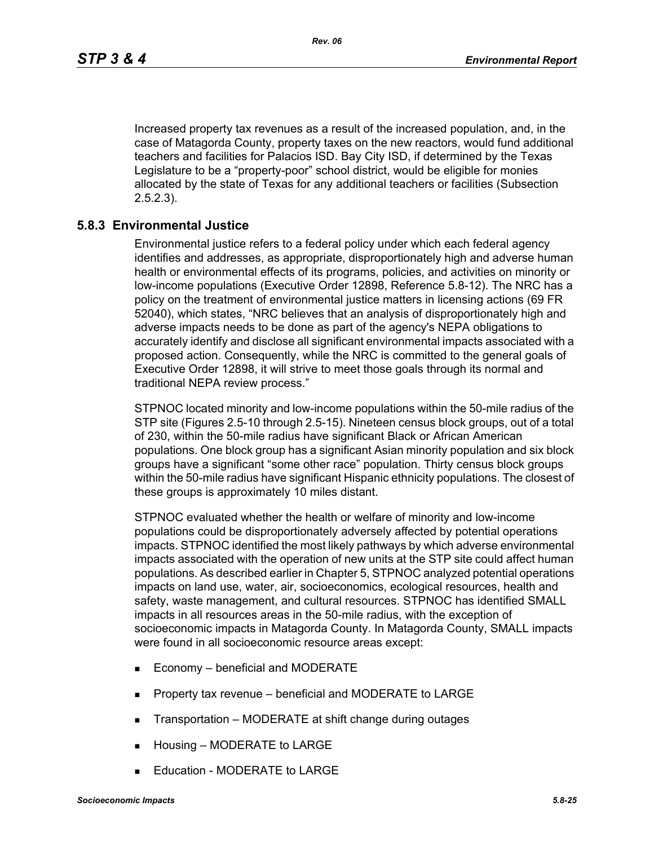Increased property tax revenues as a result of the increased population, and, in the case of Matagorda County, property taxes on the new reactors, would fund additional teachers and facilities for Palacios ISD. Bay City ISD, if determined by the Texas Legislature to be a "property-poor" school district, would be eligible for monies allocated by the state of Texas for any additional teachers or facilities (Subsection 2.5.2.3).

## **5.8.3 Environmental Justice**

Environmental justice refers to a federal policy under which each federal agency identifies and addresses, as appropriate, disproportionately high and adverse human health or environmental effects of its programs, policies, and activities on minority or low-income populations (Executive Order 12898, Reference 5.8-12). The NRC has a policy on the treatment of environmental justice matters in licensing actions (69 FR 52040), which states, "NRC believes that an analysis of disproportionately high and adverse impacts needs to be done as part of the agency's NEPA obligations to accurately identify and disclose all significant environmental impacts associated with a proposed action. Consequently, while the NRC is committed to the general goals of Executive Order 12898, it will strive to meet those goals through its normal and traditional NEPA review process."

STPNOC located minority and low-income populations within the 50-mile radius of the STP site (Figures 2.5-10 through 2.5-15). Nineteen census block groups, out of a total of 230, within the 50-mile radius have significant Black or African American populations. One block group has a significant Asian minority population and six block groups have a significant "some other race" population. Thirty census block groups within the 50-mile radius have significant Hispanic ethnicity populations. The closest of these groups is approximately 10 miles distant.

STPNOC evaluated whether the health or welfare of minority and low-income populations could be disproportionately adversely affected by potential operations impacts. STPNOC identified the most likely pathways by which adverse environmental impacts associated with the operation of new units at the STP site could affect human populations. As described earlier in Chapter 5, STPNOC analyzed potential operations impacts on land use, water, air, socioeconomics, ecological resources, health and safety, waste management, and cultural resources. STPNOC has identified SMALL impacts in all resources areas in the 50-mile radius, with the exception of socioeconomic impacts in Matagorda County. In Matagorda County, SMALL impacts were found in all socioeconomic resource areas except:

- Economy beneficial and MODERATE
- **Property tax revenue beneficial and MODERATE to LARGE**
- **Transportation MODERATE at shift change during outages**
- Housing MODERATE to LARGE
- Education MODERATE to LARGE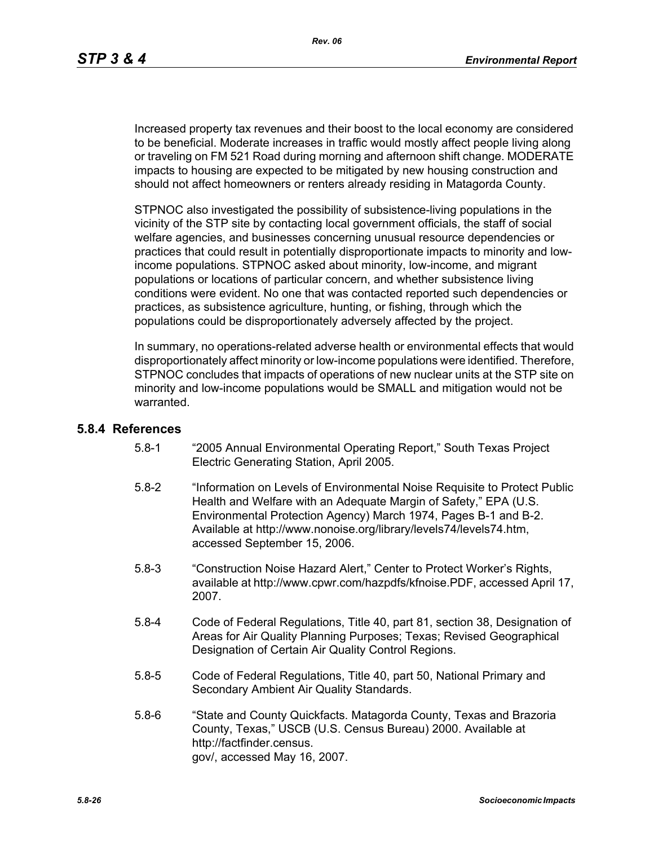Increased property tax revenues and their boost to the local economy are considered to be beneficial. Moderate increases in traffic would mostly affect people living along or traveling on FM 521 Road during morning and afternoon shift change. MODERATE impacts to housing are expected to be mitigated by new housing construction and should not affect homeowners or renters already residing in Matagorda County.

STPNOC also investigated the possibility of subsistence-living populations in the vicinity of the STP site by contacting local government officials, the staff of social welfare agencies, and businesses concerning unusual resource dependencies or practices that could result in potentially disproportionate impacts to minority and lowincome populations. STPNOC asked about minority, low-income, and migrant populations or locations of particular concern, and whether subsistence living conditions were evident. No one that was contacted reported such dependencies or practices, as subsistence agriculture, hunting, or fishing, through which the populations could be disproportionately adversely affected by the project.

In summary, no operations-related adverse health or environmental effects that would disproportionately affect minority or low-income populations were identified. Therefore, STPNOC concludes that impacts of operations of new nuclear units at the STP site on minority and low-income populations would be SMALL and mitigation would not be warranted.

#### **5.8.4 References**

- 5.8-1 "2005 Annual Environmental Operating Report," South Texas Project Electric Generating Station, April 2005.
- 5.8-2 "Information on Levels of Environmental Noise Requisite to Protect Public Health and Welfare with an Adequate Margin of Safety," EPA (U.S. Environmental Protection Agency) March 1974, Pages B-1 and B-2. Available at http://www.nonoise.org/library/levels74/levels74.htm, accessed September 15, 2006.
- 5.8-3 "Construction Noise Hazard Alert," Center to Protect Worker's Rights, available at http://www.cpwr.com/hazpdfs/kfnoise.PDF, accessed April 17, 2007.
- 5.8-4 Code of Federal Regulations, Title 40, part 81, section 38, Designation of Areas for Air Quality Planning Purposes; Texas; Revised Geographical Designation of Certain Air Quality Control Regions.
- 5.8-5 Code of Federal Regulations, Title 40, part 50, National Primary and Secondary Ambient Air Quality Standards.
- 5.8-6 "State and County Quickfacts. Matagorda County, Texas and Brazoria County, Texas," USCB (U.S. Census Bureau) 2000. Available at http://factfinder.census. gov/, accessed May 16, 2007.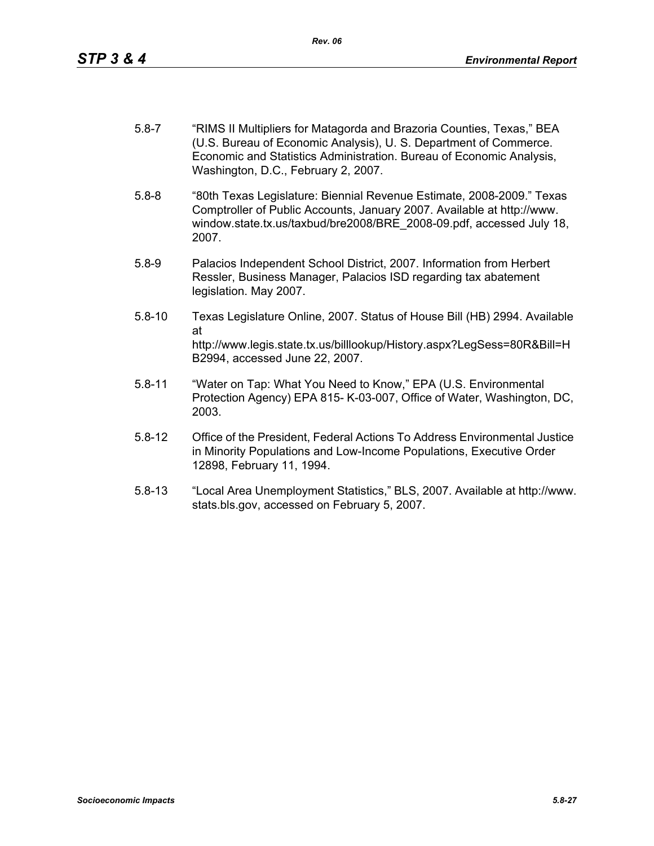- 5.8-7 "RIMS II Multipliers for Matagorda and Brazoria Counties, Texas," BEA (U.S. Bureau of Economic Analysis), U. S. Department of Commerce. Economic and Statistics Administration. Bureau of Economic Analysis, Washington, D.C., February 2, 2007.
- 5.8-8 "80th Texas Legislature: Biennial Revenue Estimate, 2008-2009." Texas Comptroller of Public Accounts, January 2007. Available at http://www. window.state.tx.us/taxbud/bre2008/BRE\_2008-09.pdf, accessed July 18, 2007.
- 5.8-9 Palacios Independent School District, 2007. Information from Herbert Ressler, Business Manager, Palacios ISD regarding tax abatement legislation. May 2007.
- 5.8-10 Texas Legislature Online, 2007. Status of House Bill (HB) 2994. Available at http://www.legis.state.tx.us/billlookup/History.aspx?LegSess=80R&Bill=H B2994, accessed June 22, 2007.
- 5.8-11 "Water on Tap: What You Need to Know," EPA (U.S. Environmental Protection Agency) EPA 815- K-03-007, Office of Water, Washington, DC, 2003.
- 5.8-12 Office of the President, Federal Actions To Address Environmental Justice in Minority Populations and Low-Income Populations, Executive Order 12898, February 11, 1994.
- 5.8-13 "Local Area Unemployment Statistics," BLS, 2007. Available at http://www. stats.bls.gov, accessed on February 5, 2007.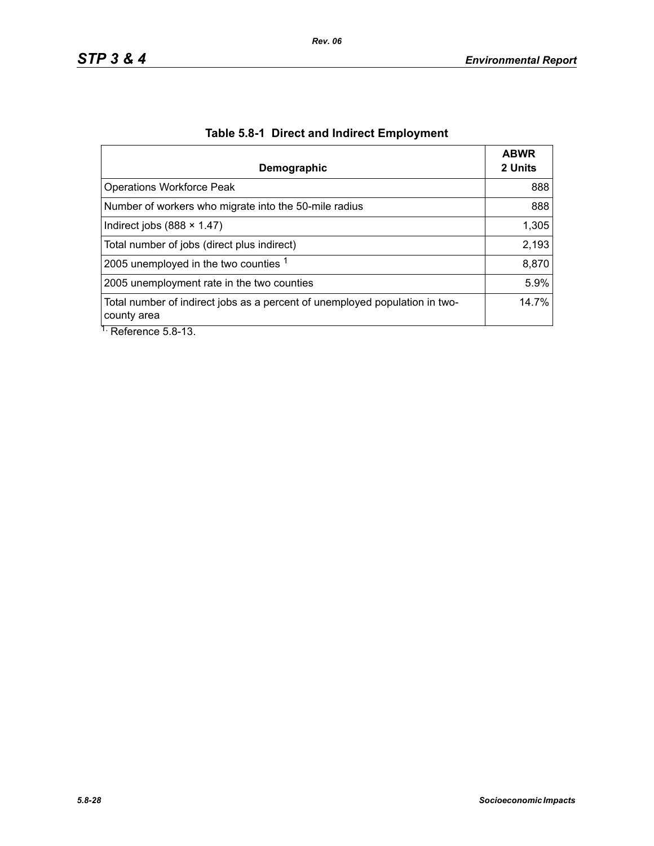| Demographic                                                                                | <b>ABWR</b><br>2 Units |
|--------------------------------------------------------------------------------------------|------------------------|
| <b>Operations Workforce Peak</b>                                                           | 888                    |
| Number of workers who migrate into the 50-mile radius                                      | 888                    |
| Indirect jobs $(888 \times 1.47)$                                                          | 1,305                  |
| Total number of jobs (direct plus indirect)                                                | 2,193                  |
| 2005 unemployed in the two counties 1                                                      | 8,870                  |
| 2005 unemployment rate in the two counties                                                 | 5.9%                   |
| Total number of indirect jobs as a percent of unemployed population in two-<br>county area | 14.7%                  |
| $\overline{1}$ . Deference E.O. 12                                                         |                        |

# **Table 5.8-1 Direct and Indirect Employment**

Reference 5.8-13.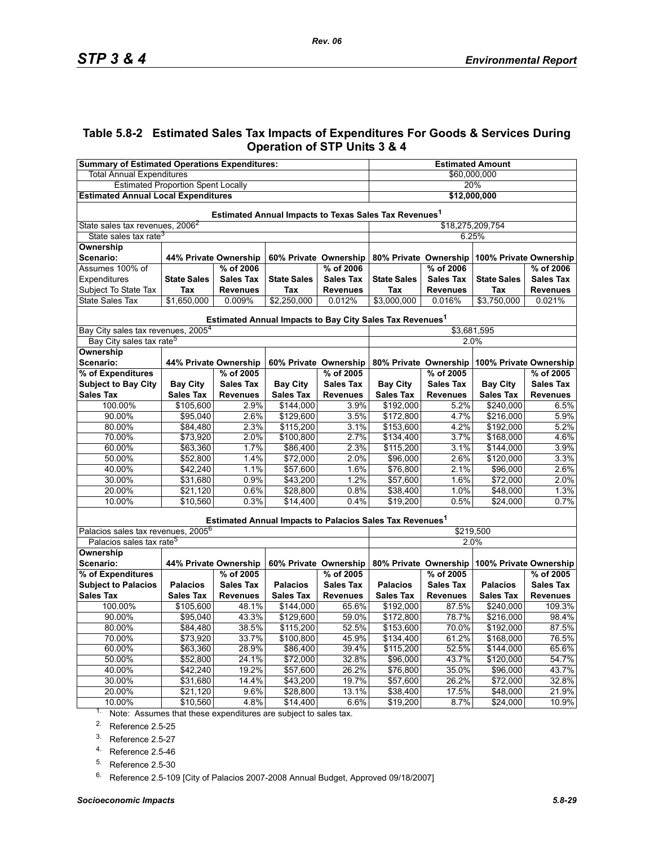## **Table 5.8-2 Estimated Sales Tax Impacts of Expenditures For Goods & Services During Operation of STP Units 3 & 4**

| <b>Summary of Estimated Operations Expenditures:</b>                 |                       |                       |                    | <b>Estimated Amount</b> |                                                                      |                  |                                              |                  |  |  |
|----------------------------------------------------------------------|-----------------------|-----------------------|--------------------|-------------------------|----------------------------------------------------------------------|------------------|----------------------------------------------|------------------|--|--|
| <b>Total Annual Expenditures</b>                                     |                       |                       |                    | \$60,000,000            |                                                                      |                  |                                              |                  |  |  |
| <b>Estimated Proportion Spent Locally</b>                            |                       |                       |                    | 20%                     |                                                                      |                  |                                              |                  |  |  |
| <b>Estimated Annual Local Expenditures</b>                           |                       |                       |                    | \$12,000,000            |                                                                      |                  |                                              |                  |  |  |
| Estimated Annual Impacts to Texas Sales Tax Revenues <sup>1</sup>    |                       |                       |                    |                         |                                                                      |                  |                                              |                  |  |  |
| State sales tax revenues, 2006 <sup>2</sup>                          |                       |                       |                    |                         | \$18,275,209,754                                                     |                  |                                              |                  |  |  |
| State sales tax rate <sup>3</sup>                                    |                       |                       |                    |                         |                                                                      | 6.25%            |                                              |                  |  |  |
| Ownership                                                            |                       |                       |                    |                         |                                                                      |                  |                                              |                  |  |  |
| Scenario:                                                            | 44% Private Ownership |                       |                    | 60% Private Ownership   | 80% Private Ownership<br>100% Private Ownership                      |                  |                                              |                  |  |  |
| Assumes 100% of                                                      |                       | % of 2006             |                    | % of 2006               | % of 2006<br>% of 2006                                               |                  |                                              |                  |  |  |
| Expenditures                                                         | <b>State Sales</b>    | <b>Sales Tax</b>      | <b>State Sales</b> | <b>Sales Tax</b>        | <b>State Sales</b>                                                   | <b>Sales Tax</b> | <b>State Sales</b>                           | <b>Sales Tax</b> |  |  |
| Subject To State Tax                                                 | Tax                   | <b>Revenues</b>       | Tax                | <b>Revenues</b>         | Tax                                                                  | <b>Revenues</b>  | Tax                                          | <b>Revenues</b>  |  |  |
| <b>State Sales Tax</b>                                               | \$1,650,000           | 0.009%                | \$2,250,000        | 0.012%                  | \$3,000,000                                                          | 0.016%           | \$3,750,000                                  | 0.021%           |  |  |
|                                                                      |                       |                       |                    |                         | Estimated Annual Impacts to Bay City Sales Tax Revenues <sup>1</sup> |                  |                                              |                  |  |  |
| Bay City sales tax revenues, 2005 <sup>4</sup>                       |                       |                       |                    |                         |                                                                      | \$3,681,595      |                                              |                  |  |  |
| Bay City sales tax rate <sup>5</sup>                                 |                       |                       |                    |                         |                                                                      | 2.0%             |                                              |                  |  |  |
| <b>Ownership</b><br>Scenario:                                        | 44% Private Ownership |                       |                    | 60% Private Ownership   |                                                                      |                  | 80% Private Ownership 100% Private Ownership |                  |  |  |
| % of Expenditures                                                    |                       | % of 2005             |                    | % of 2005               |                                                                      | % of 2005        |                                              | % of 2005        |  |  |
| <b>Subject to Bay City</b>                                           | <b>Bay City</b>       | <b>Sales Tax</b>      | <b>Bay City</b>    | <b>Sales Tax</b>        | <b>Bay City</b>                                                      | <b>Sales Tax</b> | <b>Bay City</b>                              | <b>Sales Tax</b> |  |  |
| <b>Sales Tax</b>                                                     | <b>Sales Tax</b>      | <b>Revenues</b>       | <b>Sales Tax</b>   | <b>Revenues</b>         | <b>Sales Tax</b>                                                     | <b>Revenues</b>  | <b>Sales Tax</b>                             | <b>Revenues</b>  |  |  |
| 100.00%                                                              | \$105,600             | 2.9%                  | \$144,000          | 3.9%                    | \$192,000                                                            | 5.2%             | \$240,000                                    | 6.5%             |  |  |
| 90.00%                                                               | \$95,040              | 2.6%                  | \$129,600          | 3.5%                    | \$172,800                                                            | 4.7%             | \$216,000                                    | 5.9%             |  |  |
| 80.00%                                                               | \$84,480              | 2.3%                  | \$115,200          | 3.1%                    | \$153,600                                                            | 4.2%             | \$192,000                                    | 5.2%             |  |  |
| 70.00%                                                               | \$73,920              | 2.0%                  | \$100,800          | 2.7%                    | \$134,400                                                            | 3.7%             | \$168,000                                    | 4.6%             |  |  |
| 60.00%                                                               | \$63,360              | 1.7%                  | \$86,400           | 2.3%                    | \$115,200                                                            | 3.1%             | \$144,000                                    | 3.9%             |  |  |
| 50.00%                                                               | \$52,800              | 1.4%                  | \$72,000           | 2.0%                    | \$96,000                                                             | 2.6%             | \$120,000                                    | 3.3%             |  |  |
| 40.00%                                                               | \$42,240              | 1.1%                  | \$57,600           | 1.6%                    | \$76,800                                                             | 2.1%             | \$96,000                                     | 2.6%             |  |  |
| 30.00%                                                               | \$31,680              | 0.9%                  | \$43,200           | 1.2%                    | \$57,600                                                             | 1.6%             | \$72,000                                     | 2.0%             |  |  |
| 20.00%                                                               | \$21,120              | 0.6%                  | \$28,800           | 0.8%                    | \$38,400                                                             | 1.0%             | \$48,000                                     | 1.3%             |  |  |
| 10.00%                                                               | \$10,560              | 0.3%                  | $\sqrt{$14,400}$   | 0.4%                    | \$19,200                                                             | 0.5%             | \$24,000                                     | 0.7%             |  |  |
|                                                                      |                       |                       |                    |                         | Estimated Annual Impacts to Palacios Sales Tax Revenues <sup>1</sup> |                  |                                              |                  |  |  |
| Palacios sales tax revenues, 2005 <sup>6</sup>                       |                       |                       |                    |                         | \$219,500                                                            |                  |                                              |                  |  |  |
| Palacios sales tax rate <sup>5</sup>                                 |                       |                       |                    |                         |                                                                      | 2.0%             |                                              |                  |  |  |
| Ownership<br>Scenario:                                               |                       | 44% Private Ownership |                    | 60% Private Ownership   | 80% Private Ownership                                                |                  | 100% Private Ownership                       |                  |  |  |
| % of Expenditures                                                    |                       | % of 2005             |                    | % of 2005               |                                                                      | % of 2005        |                                              | % of 2005        |  |  |
| <b>Subject to Palacios</b>                                           | <b>Palacios</b>       | <b>Sales Tax</b>      | <b>Palacios</b>    | <b>Sales Tax</b>        | <b>Palacios</b>                                                      | <b>Sales Tax</b> | <b>Palacios</b>                              | <b>Sales Tax</b> |  |  |
| <b>Sales Tax</b>                                                     | <b>Sales Tax</b>      | <b>Revenues</b>       | <b>Sales Tax</b>   | <b>Revenues</b>         | <b>Sales Tax</b>                                                     | <b>Revenues</b>  | <b>Sales Tax</b>                             | <b>Revenues</b>  |  |  |
| 100.00%                                                              | \$105,600             | 48.1%                 | \$144,000          | 65.6%                   | \$192,000                                                            | 87.5%            | \$240,000                                    | 109.3%           |  |  |
| 90.00%                                                               | \$95,040              | 43.3%                 | \$129,600          | 59.0%                   | \$172,800                                                            | 78.7%            | \$216,000                                    | 98.4%            |  |  |
| 80.00%                                                               | \$84,480              | 38.5%                 | \$115,200          | 52.5%                   | \$153,600                                                            | 70.0%            | \$192,000                                    | 87.5%            |  |  |
| 70.00%                                                               | \$73,920              | 33.7%                 | \$100,800          | 45.9%                   | \$134,400                                                            | 61.2%            | \$168,000                                    | 76.5%            |  |  |
| 60.00%                                                               | \$63,360              | 28.9%                 | \$86,400           | 39.4%                   | \$115,200                                                            | 52.5%            | \$144,000                                    | 65.6%            |  |  |
| 50.00%                                                               | \$52,800              | 24.1%                 | \$72,000           | 32.8%                   | \$96,000                                                             | 43.7%            | \$120,000                                    | 54.7%            |  |  |
| 40.00%                                                               | \$42,240              | 19.2%                 | \$57,600           | 26.2%                   | \$76,800                                                             | 35.0%            | \$96,000                                     | 43.7%            |  |  |
| 30.00%                                                               | \$31,680              | 14.4%                 | \$43,200           | 19.7%                   | \$57,600                                                             | 26.2%            | \$72,000                                     | 32.8%            |  |  |
| 20.00%                                                               | \$21,120              | 9.6%                  | \$28,800           | 13.1%                   | \$38,400                                                             | 17.5%            | \$48,000                                     | 21.9%            |  |  |
| 10.00%                                                               | \$10,560              | 4.8%                  | \$14,400           | 6.6%                    | \$19,200                                                             | 8.7%             | \$24,000                                     | 10.9%            |  |  |
| $1.$ Note: Assumes that these expenditures are subject to sales tax. |                       |                       |                    |                         |                                                                      |                  |                                              |                  |  |  |

Note: Assumes that these expenditures are subject to sales tax.

<span id="page-28-0"></span>2. Reference 2.5-25

3. Reference 2.5-27

4. Reference 2.5-46

<span id="page-28-1"></span>5. Reference 2.5-30

<sup>6.</sup> Reference 2.5-109 [City of Palacios 2007-2008 Annual Budget, Approved 09/18/2007]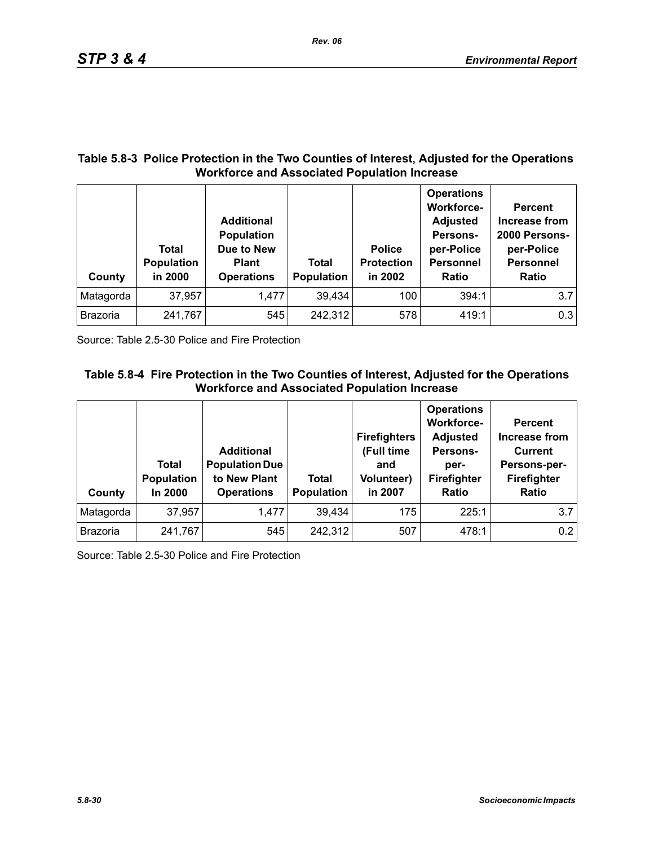### **Table 5.8-3 Police Protection in the Two Counties of Interest, Adjusted for the Operations Workforce and Associated Population Increase**

| County          | Total<br><b>Population</b><br>in 2000 | <b>Additional</b><br><b>Population</b><br>Due to New<br><b>Plant</b><br><b>Operations</b> | Total<br><b>Population</b> | <b>Police</b><br><b>Protection</b><br>in 2002 | <b>Operations</b><br><b>Workforce-</b><br><b>Adjusted</b><br>Persons-<br>per-Police<br><b>Personnel</b><br><b>Ratio</b> | <b>Percent</b><br>Increase from<br>2000 Persons-<br>per-Police<br><b>Personnel</b><br><b>Ratio</b> |
|-----------------|---------------------------------------|-------------------------------------------------------------------------------------------|----------------------------|-----------------------------------------------|-------------------------------------------------------------------------------------------------------------------------|----------------------------------------------------------------------------------------------------|
| Matagorda       | 37,957                                | 1,477                                                                                     | 39,434                     | 100                                           | 394:1                                                                                                                   | 3.7                                                                                                |
| <b>Brazoria</b> | 241,767                               | 545                                                                                       | 242,312                    | 578                                           | 419:1                                                                                                                   | 0.3                                                                                                |

Source: Table 2.5-30 Police and Fire Protection

# **Table 5.8-4 Fire Protection in the Two Counties of Interest, Adjusted for the Operations Workforce and Associated Population Increase**

| County          | Total<br>Population<br>In 2000 | <b>Additional</b><br><b>Population Due</b><br>to New Plant<br><b>Operations</b> | Total<br>Population | <b>Firefighters</b><br>(Full time<br>and<br><b>Volunteer)</b><br>in 2007 | <b>Operations</b><br><b>Workforce-</b><br><b>Adjusted</b><br>Persons-<br>per-<br>Firefighter<br>Ratio | <b>Percent</b><br>Increase from<br><b>Current</b><br>Persons-per-<br>Firefighter<br><b>Ratio</b> |
|-----------------|--------------------------------|---------------------------------------------------------------------------------|---------------------|--------------------------------------------------------------------------|-------------------------------------------------------------------------------------------------------|--------------------------------------------------------------------------------------------------|
| Matagorda       | 37,957                         | 1,477                                                                           | 39,434              | 175                                                                      | 225:1                                                                                                 | 3.7                                                                                              |
| <b>Brazoria</b> | 241,767                        | 545                                                                             | 242,312             | 507                                                                      | 478:1                                                                                                 | 0.2                                                                                              |

Source: Table 2.5-30 Police and Fire Protection